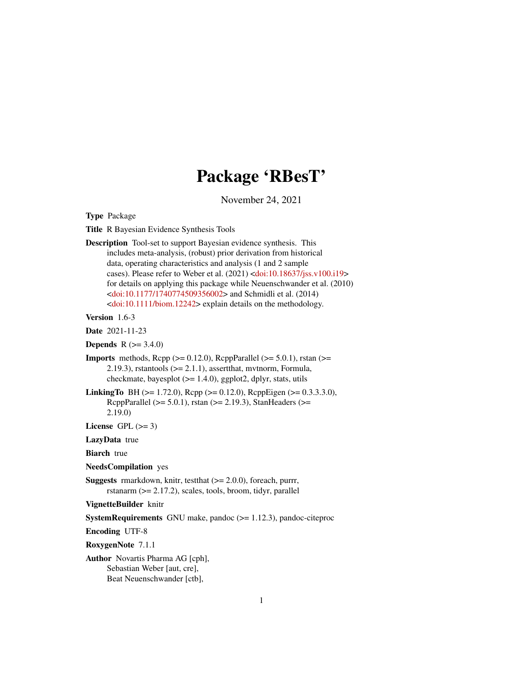# Package 'RBesT'

November 24, 2021

<span id="page-0-0"></span>Type Package

Title R Bayesian Evidence Synthesis Tools

Description Tool-set to support Bayesian evidence synthesis. This includes meta-analysis, (robust) prior derivation from historical data, operating characteristics and analysis (1 and 2 sample cases). Please refer to Weber et al. (2021) [<doi:10.18637/jss.v100.i19>](https://doi.org/10.18637/jss.v100.i19) for details on applying this package while Neuenschwander et al. (2010) [<doi:10.1177/1740774509356002>](https://doi.org/10.1177/1740774509356002) and Schmidli et al. (2014) [<doi:10.1111/biom.12242>](https://doi.org/10.1111/biom.12242) explain details on the methodology.

Version 1.6-3

Date 2021-11-23

**Depends**  $R (= 3.4.0)$ 

- **Imports** methods,  $\text{Rcpp} (> = 0.12.0)$ ,  $\text{RcppParallel} (> = 5.0.1)$ , rstan (>= 2.19.3), rstantools  $(>= 2.1.1)$ , assertthat, mythorm, Formula, checkmate, bayesplot  $(>= 1.4.0)$ , ggplot2, dplyr, stats, utils
- **LinkingTo** BH ( $>= 1.72.0$ ), Rcpp ( $>= 0.12.0$ ), RcppEigen ( $>= 0.3.3.3.0$ ), RcppParallel ( $>= 5.0.1$ ), rstan ( $>= 2.19.3$ ), StanHeaders ( $>=$ 2.19.0)

License GPL  $(>= 3)$ 

LazyData true

**Biarch** true

NeedsCompilation yes

**Suggests** rmarkdown, knitr, test that  $(>= 2.0.0)$ , for each, purrr, rstanarm (>= 2.17.2), scales, tools, broom, tidyr, parallel

VignetteBuilder knitr

SystemRequirements GNU make, pandoc (>= 1.12.3), pandoc-citeproc

Encoding UTF-8

RoxygenNote 7.1.1

Author Novartis Pharma AG [cph], Sebastian Weber [aut, cre], Beat Neuenschwander [ctb],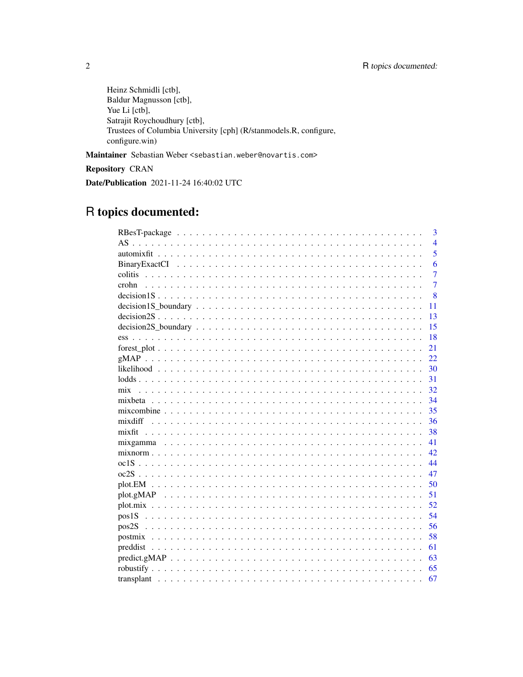Heinz Schmidli [ctb], Baldur Magnusson [ctb], Yue Li [ctb], Satrajit Roychoudhury [ctb], Trustees of Columbia University [cph] (R/stanmodels.R, configure, configure.win)

Maintainer Sebastian Weber <sebastian.weber@novartis.com>

**Repository CRAN** 

Date/Publication 2021-11-24 16:40:02 UTC

# R topics documented:

|                                                                                                                            | 3              |
|----------------------------------------------------------------------------------------------------------------------------|----------------|
|                                                                                                                            | $\overline{4}$ |
|                                                                                                                            | 5              |
|                                                                                                                            | 6              |
|                                                                                                                            | $\overline{7}$ |
| crohn                                                                                                                      | $\overline{7}$ |
|                                                                                                                            | 8              |
| $decision1S_boundary \dots \dots \dots \dots \dots \dots \dots \dots \dots \dots \dots \dots \dots \dots \dots$<br>11      |                |
|                                                                                                                            | 13             |
| 15                                                                                                                         |                |
| 18                                                                                                                         |                |
| 21                                                                                                                         |                |
| 22.                                                                                                                        |                |
| 30                                                                                                                         |                |
| 31                                                                                                                         |                |
| 32<br>mix                                                                                                                  |                |
| 34                                                                                                                         |                |
| 35                                                                                                                         |                |
| 36                                                                                                                         |                |
| mixfit<br>38                                                                                                               |                |
| 41                                                                                                                         |                |
| 42                                                                                                                         |                |
| 44                                                                                                                         |                |
| 47                                                                                                                         |                |
| 50                                                                                                                         |                |
| 51                                                                                                                         |                |
| 52                                                                                                                         |                |
| 54                                                                                                                         |                |
| 56                                                                                                                         |                |
| 58                                                                                                                         |                |
| 61                                                                                                                         |                |
| $predict.gMAP \dots \dots \dots \dots \dots \dots \dots \dots \dots \dots \dots \dots \dots \dots \dots \dots \dots$<br>63 |                |
| 65                                                                                                                         |                |
| 67                                                                                                                         |                |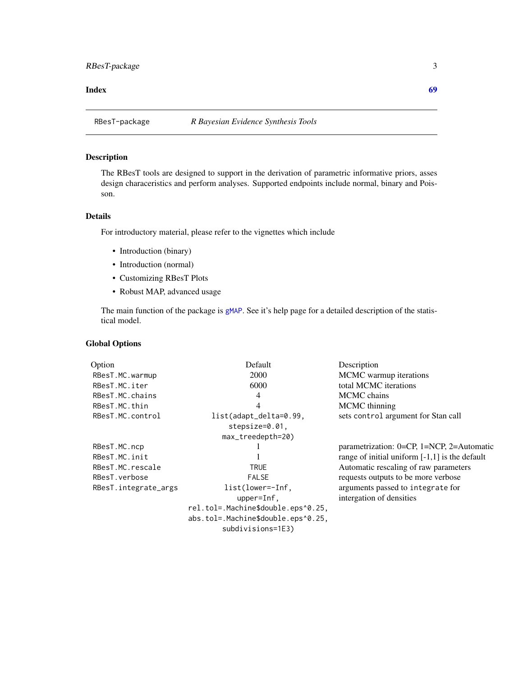#### <span id="page-2-0"></span>**Index** [69](#page-68-0) **b** and the contract of the contract of the contract of the contract of the contract of the contract of the contract of the contract of the contract of the contract of the contract of the contract of the contrac

<span id="page-2-1"></span>

#### Description

The RBesT tools are designed to support in the derivation of parametric informative priors, asses design characeristics and perform analyses. Supported endpoints include normal, binary and Poisson.

#### Details

For introductory material, please refer to the vignettes which include

- Introduction (binary)
- Introduction (normal)
- Customizing RBesT Plots
- Robust MAP, advanced usage

The main function of the package is [gMAP](#page-21-1). See it's help page for a detailed description of the statistical model.

#### Global Options

| Option               | Default                            | Description                                      |
|----------------------|------------------------------------|--------------------------------------------------|
| RBesT.MC.warmup      | 2000                               | MCMC warmup iterations                           |
| RBesT.MC.iter        | 6000                               | total MCMC iterations                            |
| RBesT.MC.chains      | 4                                  | <b>MCMC</b> chains                               |
| RBesT.MC.thin        | 4                                  | MCMC thinning                                    |
| RBesT.MC.control     | list(adapt_delta=0.99,             | sets control argument for Stan call              |
|                      | $stepsize=0.01$ .                  |                                                  |
|                      | $max\_treedepth=20$                |                                                  |
| RBesT.MC.ncp         |                                    | parametrization: 0=CP, 1=NCP, 2=Automatic        |
| RBesT.MC.init        |                                    | range of initial uniform $[-1,1]$ is the default |
| RBesT.MC.rescale     | <b>TRUE</b>                        | Automatic rescaling of raw parameters            |
| RBesT.verbose        | <b>FALSE</b>                       | requests outputs to be more verbose              |
| RBesT.integrate_args | $list(lower=Inf,$                  | arguments passed to integrate for                |
|                      | $upper=Inf$ ,                      | intergation of densities                         |
|                      | rel.tol=.Machine\$double.eps^0.25, |                                                  |
|                      | abs.tol=.Machine\$double.eps^0.25, |                                                  |
|                      | subdivisions=1E3)                  |                                                  |
|                      |                                    |                                                  |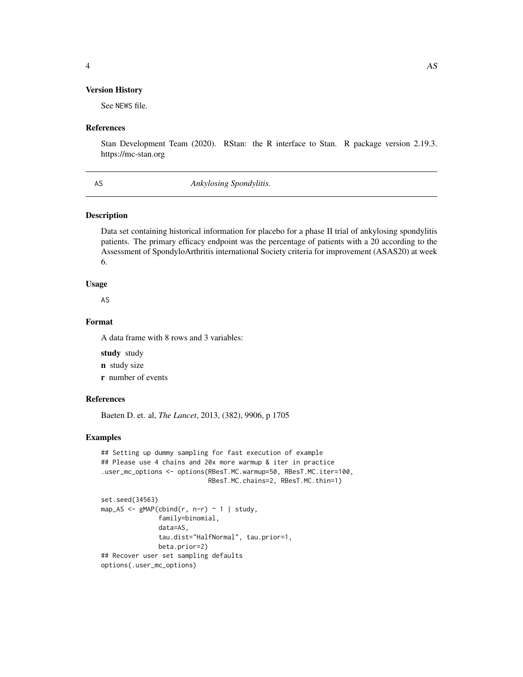#### <span id="page-3-0"></span>Version History

See NEWS file.

#### References

Stan Development Team (2020). RStan: the R interface to Stan. R package version 2.19.3. https://mc-stan.org

AS *Ankylosing Spondylitis.*

#### Description

Data set containing historical information for placebo for a phase II trial of ankylosing spondylitis patients. The primary efficacy endpoint was the percentage of patients with a 20 according to the Assessment of SpondyloArthritis international Society criteria for improvement (ASAS20) at week 6.

#### Usage

AS

#### Format

A data frame with 8 rows and 3 variables:

study study

n study size

r number of events

#### References

Baeten D. et. al, *The Lancet*, 2013, (382), 9906, p 1705

#### Examples

```
## Setting up dummy sampling for fast execution of example
## Please use 4 chains and 20x more warmup & iter in practice
.user_mc_options <- options(RBesT.MC.warmup=50, RBesT.MC.iter=100,
                            RBesT.MC.chains=2, RBesT.MC.thin=1)
set.seed(34563)
map_AS <- gMAP(cbind(r, n-r) ~ 1 | study,
               family=binomial,
               data=AS,
               tau.dist="HalfNormal", tau.prior=1,
              beta.prior=2)
## Recover user set sampling defaults
options(.user_mc_options)
```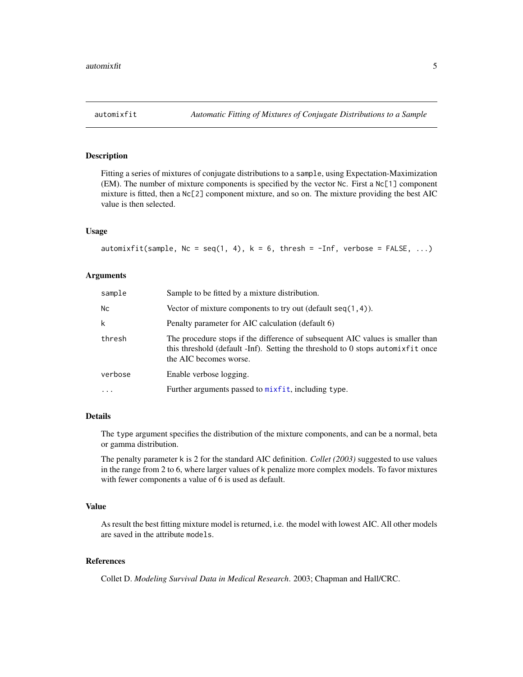#### <span id="page-4-1"></span><span id="page-4-0"></span>Description

Fitting a series of mixtures of conjugate distributions to a sample, using Expectation-Maximization (EM). The number of mixture components is specified by the vector Nc. First a Nc[1] component mixture is fitted, then a Nc[2] component mixture, and so on. The mixture providing the best AIC value is then selected.

#### Usage

```
automixfit(sample, Nc = seq(1, 4), k = 6, thresh = -Inf, verbose = FALSE, ...)
```
#### Arguments

| sample    | Sample to be fitted by a mixture distribution.                                                                                                                                              |
|-----------|---------------------------------------------------------------------------------------------------------------------------------------------------------------------------------------------|
| <b>Nc</b> | Vector of mixture components to try out (default $seq(1, 4)$ ).                                                                                                                             |
| k         | Penalty parameter for AIC calculation (default 6)                                                                                                                                           |
| thresh    | The procedure stops if the difference of subsequent AIC values is smaller than<br>this threshold (default -Inf). Setting the threshold to 0 stops automixfit once<br>the AIC becomes worse. |
| verbose   | Enable verbose logging.                                                                                                                                                                     |
| $\ddotsc$ | Further arguments passed to mixfit, including type.                                                                                                                                         |

#### Details

The type argument specifies the distribution of the mixture components, and can be a normal, beta or gamma distribution.

The penalty parameter k is 2 for the standard AIC definition. *Collet (2003)* suggested to use values in the range from 2 to 6, where larger values of k penalize more complex models. To favor mixtures with fewer components a value of 6 is used as default.

#### Value

As result the best fitting mixture model is returned, i.e. the model with lowest AIC. All other models are saved in the attribute models.

#### References

Collet D. *Modeling Survival Data in Medical Research*. 2003; Chapman and Hall/CRC.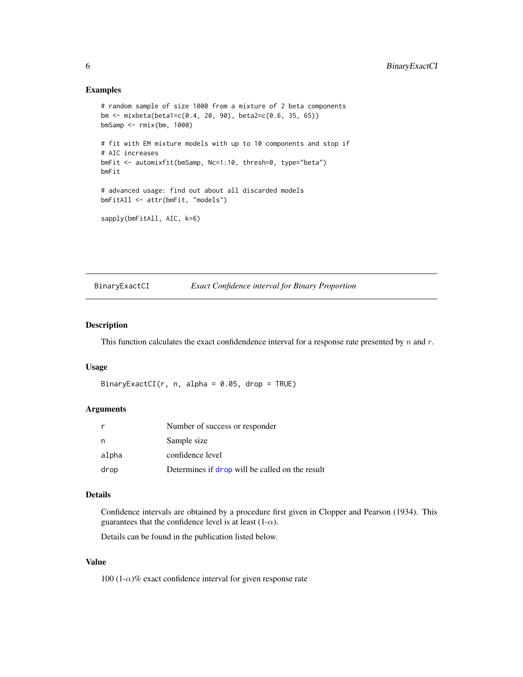#### Examples

```
# random sample of size 1000 from a mixture of 2 beta components
bm <- mixbeta(beta1=c(0.4, 20, 90), beta2=c(0.6, 35, 65))
bmSamp <- rmix(bm, 1000)
# fit with EM mixture models with up to 10 components and stop if
# AIC increases
bmFit <- automixfit(bmSamp, Nc=1:10, thresh=0, type="beta")
bmFit
# advanced usage: find out about all discarded models
bmFitAll <- attr(bmFit, "models")
sapply(bmFitAll, AIC, k=6)
```
#### BinaryExactCI *Exact Confidence interval for Binary Proportion*

#### Description

This function calculates the exact confidendence interval for a response rate presented by  $n$  and  $r$ .

#### Usage

```
BinaryExactCI(r, n, alpha = 0.05, drop = TRUE)
```
#### Arguments

|       | Number of success or responder                  |
|-------|-------------------------------------------------|
| n     | Sample size                                     |
| alpha | confidence level                                |
| drop  | Determines if drop will be called on the result |

#### Details

Confidence intervals are obtained by a procedure first given in Clopper and Pearson (1934). This guarantees that the confidence level is at least  $(1-\alpha)$ .

Details can be found in the publication listed below.

#### Value

100 (1- $\alpha$ )% exact confidence interval for given response rate

<span id="page-5-0"></span>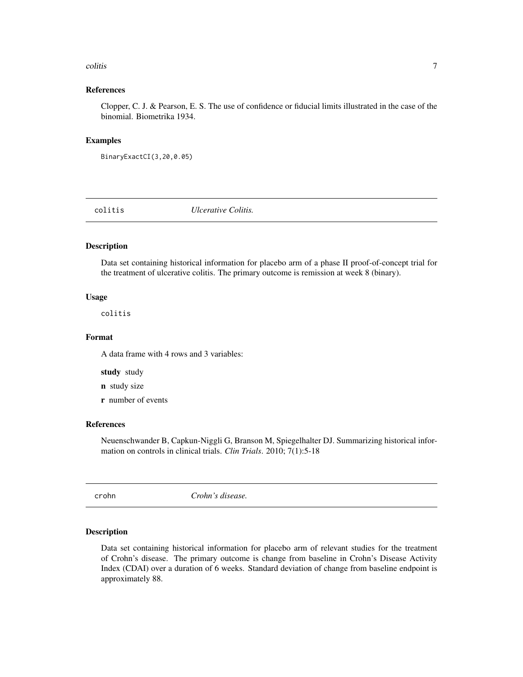#### <span id="page-6-0"></span>colitis **7**

#### References

Clopper, C. J. & Pearson, E. S. The use of confidence or fiducial limits illustrated in the case of the binomial. Biometrika 1934.

#### Examples

```
BinaryExactCI(3,20,0.05)
```
colitis *Ulcerative Colitis.*

#### Description

Data set containing historical information for placebo arm of a phase II proof-of-concept trial for the treatment of ulcerative colitis. The primary outcome is remission at week 8 (binary).

#### Usage

colitis

#### Format

A data frame with 4 rows and 3 variables:

study study

- n study size
- r number of events

#### References

Neuenschwander B, Capkun-Niggli G, Branson M, Spiegelhalter DJ. Summarizing historical information on controls in clinical trials. *Clin Trials*. 2010; 7(1):5-18

crohn *Crohn's disease.*

#### Description

Data set containing historical information for placebo arm of relevant studies for the treatment of Crohn's disease. The primary outcome is change from baseline in Crohn's Disease Activity Index (CDAI) over a duration of 6 weeks. Standard deviation of change from baseline endpoint is approximately 88.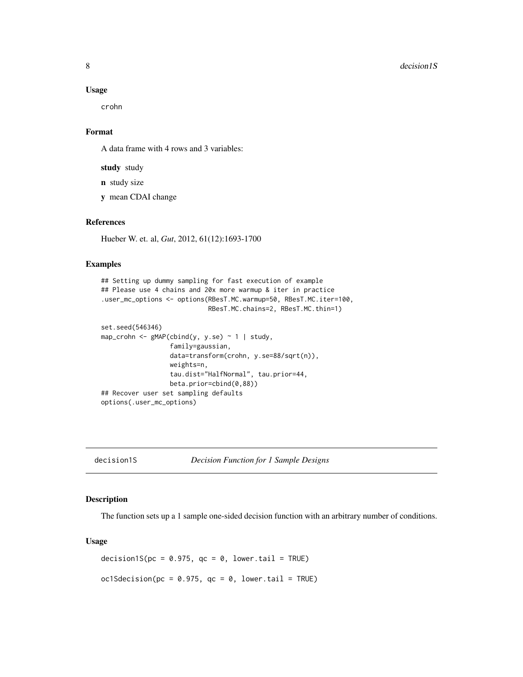<span id="page-7-0"></span>crohn

### Format

A data frame with 4 rows and 3 variables:

study study

n study size

y mean CDAI change

#### References

Hueber W. et. al, *Gut*, 2012, 61(12):1693-1700

#### Examples

```
## Setting up dummy sampling for fast execution of example
## Please use 4 chains and 20x more warmup & iter in practice
.user_mc_options <- options(RBesT.MC.warmup=50, RBesT.MC.iter=100,
                            RBesT.MC.chains=2, RBesT.MC.thin=1)
set.seed(546346)
map_crohn <- gMAP(cbind(y, y.se) ~ ~ 1 | study,
                  family=gaussian,
                  data=transform(crohn, y.se=88/sqrt(n)),
                  weights=n,
                  tau.dist="HalfNormal", tau.prior=44,
                  beta.prior=cbind(0,88))
## Recover user set sampling defaults
options(.user_mc_options)
```
<span id="page-7-1"></span>decision1S *Decision Function for 1 Sample Designs*

#### Description

The function sets up a 1 sample one-sided decision function with an arbitrary number of conditions.

#### Usage

decision1S( $pc = 0.975$ ,  $qc = 0$ , lower.tail = TRUE) oc1Sdecision(pc =  $0.975$ , qc =  $0$ , lower.tail = TRUE)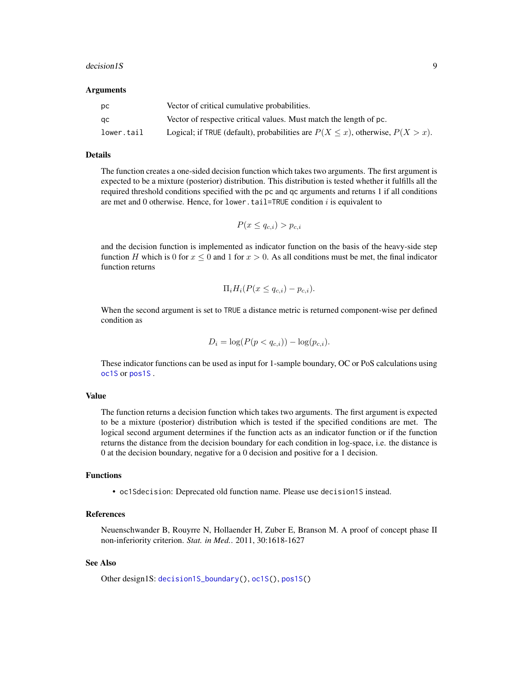#### <span id="page-8-0"></span>decision1S 9

#### Arguments

| DC.        | Vector of critical cumulative probabilities.                                         |
|------------|--------------------------------------------------------------------------------------|
| qc.        | Vector of respective critical values. Must match the length of pc.                   |
| lower.tail | Logical; if TRUE (default), probabilities are $P(X \le x)$ , otherwise, $P(X > x)$ . |

#### Details

The function creates a one-sided decision function which takes two arguments. The first argument is expected to be a mixture (posterior) distribution. This distribution is tested whether it fulfills all the required threshold conditions specified with the pc and qc arguments and returns 1 if all conditions are met and  $0$  otherwise. Hence, for lower.tail=TRUE condition  $i$  is equivalent to

$$
P(x \leq q_{c,i}) > p_{c,i}
$$

and the decision function is implemented as indicator function on the basis of the heavy-side step function H which is 0 for  $x \le 0$  and 1 for  $x > 0$ . As all conditions must be met, the final indicator function returns

$$
\Pi_i H_i(P(x \le q_{c,i}) - p_{c,i}).
$$

When the second argument is set to TRUE a distance metric is returned component-wise per defined condition as

$$
D_i = \log(P(p < q_{c,i})) - \log(p_{c,i}).
$$

These indicator functions can be used as input for 1-sample boundary, OC or PoS calculations using [oc1S](#page-43-1) or [pos1S](#page-53-1) .

#### Value

The function returns a decision function which takes two arguments. The first argument is expected to be a mixture (posterior) distribution which is tested if the specified conditions are met. The logical second argument determines if the function acts as an indicator function or if the function returns the distance from the decision boundary for each condition in log-space, i.e. the distance is 0 at the decision boundary, negative for a 0 decision and positive for a 1 decision.

#### Functions

• oc1Sdecision: Deprecated old function name. Please use decision1S instead.

#### References

Neuenschwander B, Rouyrre N, Hollaender H, Zuber E, Branson M. A proof of concept phase II non-inferiority criterion. *Stat. in Med.*. 2011, 30:1618-1627

#### See Also

Other design1S: [decision1S\\_boundary\(](#page-10-1)), [oc1S\(](#page-43-1)), [pos1S\(](#page-53-1))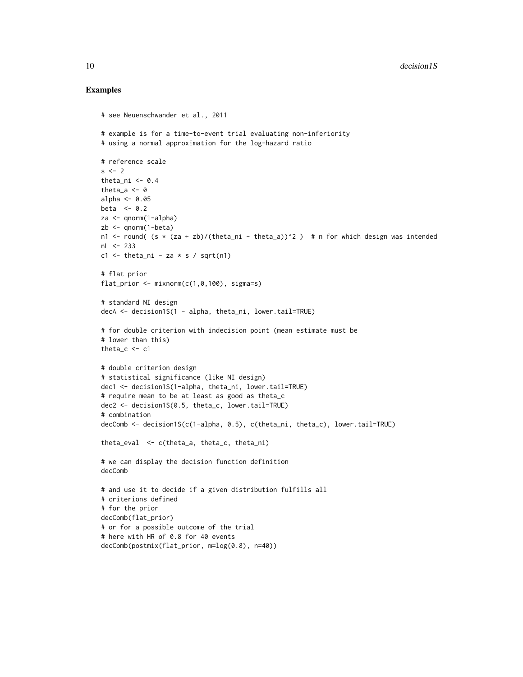#### Examples

```
# see Neuenschwander et al., 2011
# example is for a time-to-event trial evaluating non-inferiority
# using a normal approximation for the log-hazard ratio
# reference scale
s \leq -2theta_ni \leq -0.4theta a \leftarrow 0alpha <- 0.05
beta <-0.2za <- qnorm(1-alpha)
zb <- qnorm(1-beta)
n1 \le round( (s * (za + zb)/(theta_in) - theta_an) \ge ) # n for which design was intended
nL <- 233
c1 \le theta_ni - za \star s / sqrt(n1)
# flat prior
flat_prior \leq mixnorm(c(1, 0, 100), sigma=s)
# standard NI design
decA <- decision1S(1 - alpha, theta_ni, lower.tail=TRUE)
# for double criterion with indecision point (mean estimate must be
# lower than this)
theta_c < -c1# double criterion design
# statistical significance (like NI design)
dec1 <- decision1S(1-alpha, theta_ni, lower.tail=TRUE)
# require mean to be at least as good as theta_c
dec2 <- decision1S(0.5, theta_c, lower.tail=TRUE)
# combination
decComb <- decision1S(c(1-alpha, 0.5), c(theta_ni, theta_c), lower.tail=TRUE)
theta_eval <- c(theta_a, theta_c, theta_ni)
# we can display the decision function definition
decComb
# and use it to decide if a given distribution fulfills all
# criterions defined
# for the prior
decComb(flat_prior)
# or for a possible outcome of the trial
# here with HR of 0.8 for 40 events
decComb(postmix(flat_prior, m=log(0.8), n=40))
```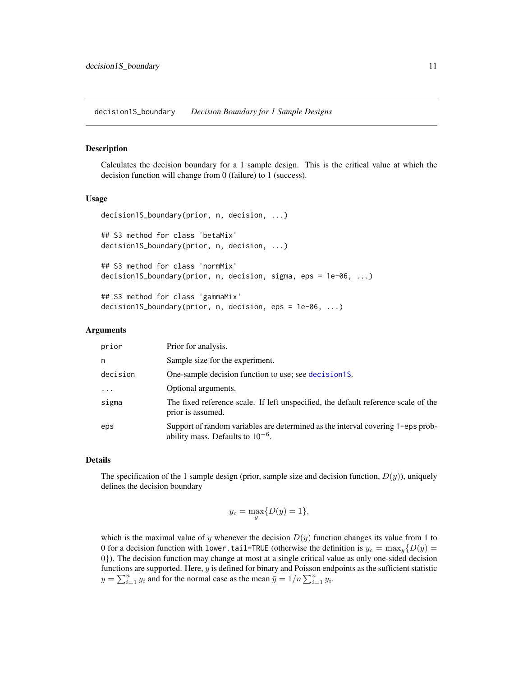<span id="page-10-1"></span><span id="page-10-0"></span>decision1S\_boundary *Decision Boundary for 1 Sample Designs*

#### Description

Calculates the decision boundary for a 1 sample design. This is the critical value at which the decision function will change from 0 (failure) to 1 (success).

#### Usage

```
decision1S_boundary(prior, n, decision, ...)
## S3 method for class 'betaMix'
decision1S_boundary(prior, n, decision, ...)
## S3 method for class 'normMix'
decision1S_boundary(prior, n, decision, sigma, eps = 1e-06, ...)
## S3 method for class 'gammaMix'
```
## decision1S\_boundary(prior, n, decision, eps = 1e-06, ...)

#### Arguments

| prior    | Prior for analysis.                                                                                                      |
|----------|--------------------------------------------------------------------------------------------------------------------------|
| n        | Sample size for the experiment.                                                                                          |
| decision | One-sample decision function to use; see decision 15.                                                                    |
|          | Optional arguments.                                                                                                      |
| sigma    | The fixed reference scale. If left unspecified, the default reference scale of the<br>prior is assumed.                  |
| eps      | Support of random variables are determined as the interval covering 1-eps prob-<br>ability mass. Defaults to $10^{-6}$ . |

#### Details

The specification of the 1 sample design (prior, sample size and decision function,  $D(y)$ ), uniquely defines the decision boundary

$$
y_c = \max_{y} \{ D(y) = 1 \},
$$

which is the maximal value of y whenever the decision  $D(y)$  function changes its value from 1 to 0 for a decision function with lower.tail=TRUE (otherwise the definition is  $y_c = \max_y \{D(y) =$ 0}). The decision function may change at most at a single critical value as only one-sided decision functions are supported. Here, y is defined for binary and Poisson endpoints as the sufficient statistic  $y = \sum_{i=1}^{n} y_i$  and for the normal case as the mean  $\overline{y} = 1/n \sum_{i=1}^{n} y_i$ .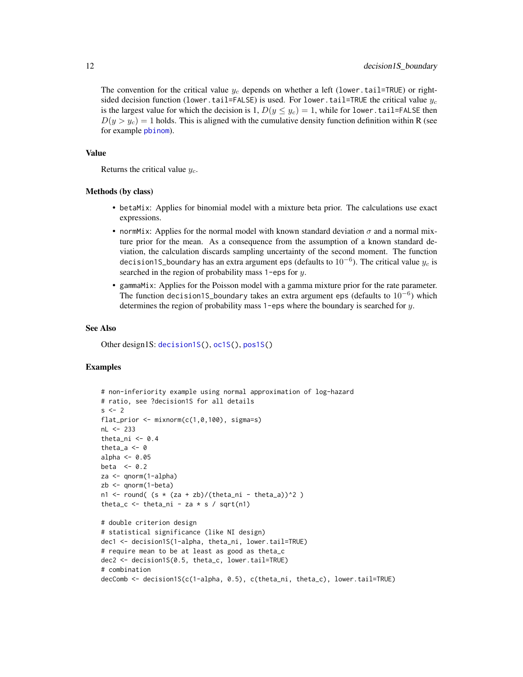<span id="page-11-0"></span>The convention for the critical value  $y_c$  depends on whether a left (lower.tail=TRUE) or rightsided decision function (lower.tail=FALSE) is used. For lower.tail=TRUE the critical value  $y_c$ is the largest value for which the decision is 1,  $D(y \leq y_c) = 1$ , while for lower.tail=FALSE then  $D(y > y_c) = 1$  holds. This is aligned with the cumulative density function definition within R (see for example [pbinom](#page-0-0)).

#### Value

Returns the critical value  $y_c$ .

#### Methods (by class)

- betaMix: Applies for binomial model with a mixture beta prior. The calculations use exact expressions.
- normMix: Applies for the normal model with known standard deviation  $\sigma$  and a normal mixture prior for the mean. As a consequence from the assumption of a known standard deviation, the calculation discards sampling uncertainty of the second moment. The function decision1S\_boundary has an extra argument eps (defaults to  $10^{-6}$ ). The critical value  $y_c$  is searched in the region of probability mass 1-eps for y.
- gammaMix: Applies for the Poisson model with a gamma mixture prior for the rate parameter. The function decision1S\_boundary takes an extra argument eps (defaults to  $10^{-6}$ ) which determines the region of probability mass 1-eps where the boundary is searched for y.

#### See Also

Other design1S: [decision1S\(](#page-7-1)), [oc1S\(](#page-43-1)), [pos1S\(](#page-53-1))

#### Examples

```
# non-inferiority example using normal approximation of log-hazard
# ratio, see ?decision1S for all details
s \leq -2flat_prior \leq mixnorm(c(1, 0, 100), sigma=s)
nL <- 233
theta_ni <-0.4theta_a \leq -\thetaalpha \leq -0.05beta <-0.2za <- qnorm(1-alpha)
zb <- qnorm(1-beta)
n1 <- round( (s * (za + zb)/(theta_ani - theta_a))^2 )
theta_c \le theta_ni - za \star s / sqrt(n1)
# double criterion design
# statistical significance (like NI design)
dec1 <- decision1S(1-alpha, theta_ni, lower.tail=TRUE)
# require mean to be at least as good as theta_c
dec2 <- decision1S(0.5, theta_c, lower.tail=TRUE)
# combination
decComb <- decision1S(c(1-alpha, 0.5), c(theta_ni, theta_c), lower.tail=TRUE)
```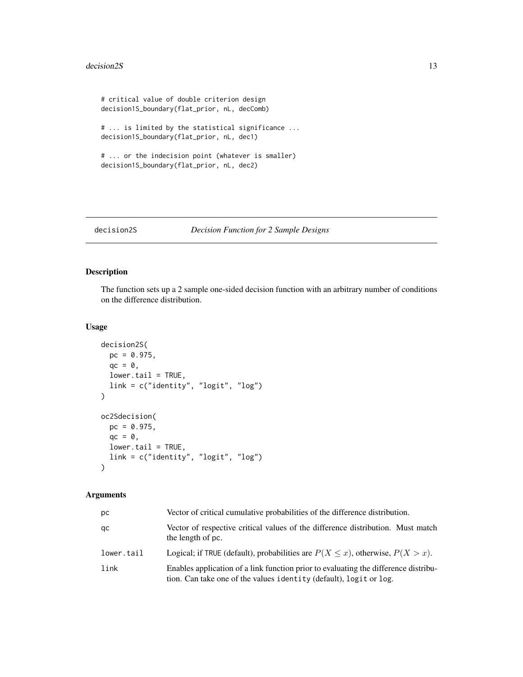#### <span id="page-12-0"></span>decision2S 13

```
# critical value of double criterion design
decision1S_boundary(flat_prior, nL, decComb)
# ... is limited by the statistical significance ...
decision1S_boundary(flat_prior, nL, dec1)
# ... or the indecision point (whatever is smaller)
decision1S_boundary(flat_prior, nL, dec2)
```
#### <span id="page-12-1"></span>decision2S *Decision Function for 2 Sample Designs*

#### Description

The function sets up a 2 sample one-sided decision function with an arbitrary number of conditions on the difference distribution.

#### Usage

```
decision2S(
 pc = 0.975,
 qc = 0,lower.tail = TRUE,link = c("identity", "logit", "log")
)
oc2Sdecision(
 pc = 0.975,
 qc = 0,lower.tail = TRUE,
 link = c("identity", "logit", "log")
\lambda
```
#### Arguments

| рc         | Vector of critical cumulative probabilities of the difference distribution.                                                                               |
|------------|-----------------------------------------------------------------------------------------------------------------------------------------------------------|
| qc         | Vector of respective critical values of the difference distribution. Must match<br>the length of pc.                                                      |
| lower.tail | Logical; if TRUE (default), probabilities are $P(X \le x)$ , otherwise, $P(X > x)$ .                                                                      |
| link       | Enables application of a link function prior to evaluating the difference distribu-<br>tion. Can take one of the values identity (default), logit or log. |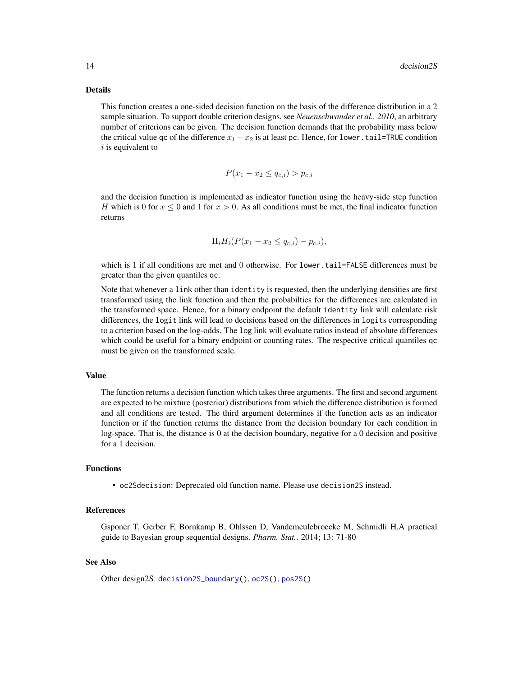#### <span id="page-13-0"></span>Details

This function creates a one-sided decision function on the basis of the difference distribution in a 2 sample situation. To support double criterion designs, see *Neuenschwander et al., 2010*, an arbitrary number of criterions can be given. The decision function demands that the probability mass below the critical value qc of the difference  $x_1 - x_2$  is at least pc. Hence, for lower.tail=TRUE condition  $i$  is equivalent to

$$
P(x_1 - x_2 \le q_{c,i}) > p_{c,i}
$$

and the decision function is implemented as indicator function using the heavy-side step function H which is 0 for  $x \le 0$  and 1 for  $x > 0$ . As all conditions must be met, the final indicator function returns

$$
\Pi_i H_i (P(x_1 - x_2 \le q_{c,i}) - p_{c,i}),
$$

which is 1 if all conditions are met and 0 otherwise. For lower, tail=FALSE differences must be greater than the given quantiles qc.

Note that whenever a link other than identity is requested, then the underlying densities are first transformed using the link function and then the probabilties for the differences are calculated in the transformed space. Hence, for a binary endpoint the default identity link will calculate risk differences, the logit link will lead to decisions based on the differences in logits corresponding to a criterion based on the log-odds. The log link will evaluate ratios instead of absolute differences which could be useful for a binary endpoint or counting rates. The respective critical quantiles qc must be given on the transformed scale.

#### Value

The function returns a decision function which takes three arguments. The first and second argument are expected to be mixture (posterior) distributions from which the difference distribution is formed and all conditions are tested. The third argument determines if the function acts as an indicator function or if the function returns the distance from the decision boundary for each condition in log-space. That is, the distance is 0 at the decision boundary, negative for a 0 decision and positive for a 1 decision.

#### Functions

• oc2Sdecision: Deprecated old function name. Please use decision2S instead.

#### References

Gsponer T, Gerber F, Bornkamp B, Ohlssen D, Vandemeulebroecke M, Schmidli H.A practical guide to Bayesian group sequential designs. *Pharm. Stat.*. 2014; 13: 71-80

#### See Also

Other design2S: [decision2S\\_boundary\(](#page-14-1)), [oc2S\(](#page-46-1)), [pos2S\(](#page-55-1))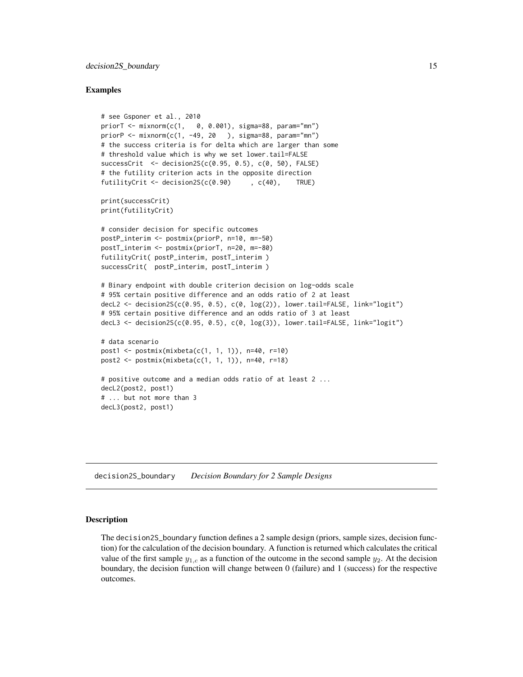#### <span id="page-14-0"></span>Examples

```
# see Gsponer et al., 2010
priorT <- mixnorm(c(1, 0, 0.001), sigma=88, param="mn")
priorP <- mixnorm(c(1, -49, 20 ), sigma=88, param="mn")
# the success criteria is for delta which are larger than some
# threshold value which is why we set lower.tail=FALSE
successCrit <- decision2S(c(0.95, 0.5), c(0, 50), FALSE)
# the futility criterion acts in the opposite direction
futilityCrit <- decision2S(c(0.90) , c(40), TRUE)
print(successCrit)
print(futilityCrit)
# consider decision for specific outcomes
postP_interim <- postmix(priorP, n=10, m=-50)
postT_interim <- postmix(priorT, n=20, m=-80)
futilityCrit( postP_interim, postT_interim )
successCrit( postP_interim, postT_interim )
# Binary endpoint with double criterion decision on log-odds scale
# 95% certain positive difference and an odds ratio of 2 at least
decL2 \leq decision2S(c(0.95, 0.5), c(0, log(2)), lower.tail=FALSE, link="logit")
# 95% certain positive difference and an odds ratio of 3 at least
decL3 \leq decision2S(c(0.95, 0.5), c(0, log(3)), lower.tail=FALSE, link="logit")
# data scenario
post1 <- postmix(mixbeta(c(1, 1, 1)), n=40, r=10)
post2 <- postmix(mixbeta(c(1, 1, 1)), n=40, r=18)
# positive outcome and a median odds ratio of at least 2 ...
decL2(post2, post1)
# ... but not more than 3
decL3(post2, post1)
```
<span id="page-14-1"></span>decision2S\_boundary *Decision Boundary for 2 Sample Designs*

#### Description

The decision2S\_boundary function defines a 2 sample design (priors, sample sizes, decision function) for the calculation of the decision boundary. A function is returned which calculates the critical value of the first sample  $y_{1,c}$  as a function of the outcome in the second sample  $y_2$ . At the decision boundary, the decision function will change between 0 (failure) and 1 (success) for the respective outcomes.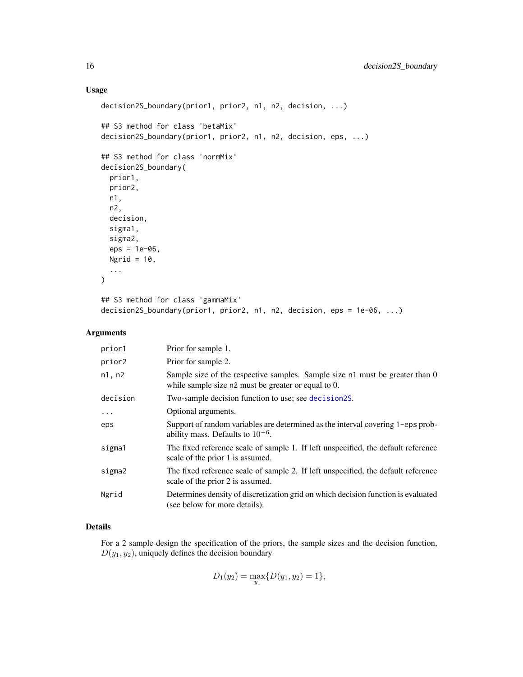#### Usage

```
decision2S_boundary(prior1, prior2, n1, n2, decision, ...)
## S3 method for class 'betaMix'
decision2S_boundary(prior1, prior2, n1, n2, decision, eps, ...)
## S3 method for class 'normMix'
decision2S_boundary(
 prior1,
 prior2,
 n1,
 n2,
 decision,
 sigma1,
 sigma2,
 eps = 1e-06,
 Ngrid = 10,
  ...
)
```

```
## S3 method for class 'gammaMix'
decision2S_boundary(prior1, prior2, n1, n2, decision, eps = 1e-06, ...)
```
#### Arguments

| prior1   | Prior for sample 1.                                                                                                                 |
|----------|-------------------------------------------------------------------------------------------------------------------------------------|
| prior2   | Prior for sample 2.                                                                                                                 |
| n1, n2   | Sample size of the respective samples. Sample size n1 must be greater than 0<br>while sample size n2 must be greater or equal to 0. |
| decision | Two-sample decision function to use; see decision2S.                                                                                |
| $\cdots$ | Optional arguments.                                                                                                                 |
| eps      | Support of random variables are determined as the interval covering 1-eps prob-<br>ability mass. Defaults to $10^{-6}$ .            |
| sigma1   | The fixed reference scale of sample 1. If left unspecified, the default reference<br>scale of the prior 1 is assumed.               |
| sigma2   | The fixed reference scale of sample 2. If left unspecified, the default reference<br>scale of the prior 2 is assumed.               |
| Ngrid    | Determines density of discretization grid on which decision function is evaluated<br>(see below for more details).                  |

#### Details

For a 2 sample design the specification of the priors, the sample sizes and the decision function,  $D(y_1, y_2)$ , uniquely defines the decision boundary

$$
D_1(y_2) = \max_{y_1} \{ D(y_1, y_2) = 1 \},\
$$

<span id="page-15-0"></span>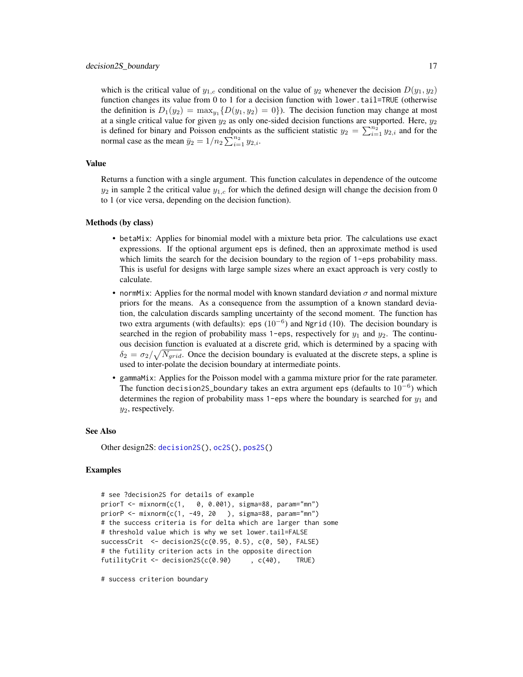<span id="page-16-0"></span>which is the critical value of  $y_{1,c}$  conditional on the value of  $y_2$  whenever the decision  $D(y_1, y_2)$ function changes its value from 0 to 1 for a decision function with lower.tail=TRUE (otherwise the definition is  $D_1(y_2) = \max_{y_1} \{D(y_1, y_2) = 0\}$ . The decision function may change at most at a single critical value for given  $y_2$  as only one-sided decision functions are supported. Here,  $y_2$ is defined for binary and Poisson endpoints as the sufficient statistic  $y_2 = \sum_{i=1}^{n_2} y_{2,i}$  and for the normal case as the mean  $\bar{y}_2 = 1/n_2 \sum_{i=1}^{n_2} y_{2,i}$ .

#### Value

Returns a function with a single argument. This function calculates in dependence of the outcome  $y_2$  in sample 2 the critical value  $y_{1,c}$  for which the defined design will change the decision from 0 to 1 (or vice versa, depending on the decision function).

#### Methods (by class)

- betaMix: Applies for binomial model with a mixture beta prior. The calculations use exact expressions. If the optional argument eps is defined, then an approximate method is used which limits the search for the decision boundary to the region of 1-eps probability mass. This is useful for designs with large sample sizes where an exact approach is very costly to calculate.
- normMix: Applies for the normal model with known standard deviation  $\sigma$  and normal mixture priors for the means. As a consequence from the assumption of a known standard deviation, the calculation discards sampling uncertainty of the second moment. The function has two extra arguments (with defaults): eps  $(10^{-6})$  and Ngrid (10). The decision boundary is searched in the region of probability mass 1-eps, respectively for  $y_1$  and  $y_2$ . The continuous decision function is evaluated at a discrete grid, which is determined by a spacing with  $\delta_2 = \sigma_2 / \sqrt{N_{grid}}$ . Once the decision boundary is evaluated at the discrete steps, a spline is used to inter-polate the decision boundary at intermediate points.
- gammaMix: Applies for the Poisson model with a gamma mixture prior for the rate parameter. The function decision2S\_boundary takes an extra argument eps (defaults to  $10^{-6}$ ) which determines the region of probability mass 1-eps where the boundary is searched for  $y_1$  and  $y_2$ , respectively.

#### See Also

Other design2S: [decision2S\(](#page-12-1)), [oc2S\(](#page-46-1)), [pos2S\(](#page-55-1))

#### Examples

```
# see ?decision2S for details of example
priorT <- mixnorm(c(1, 0, 0.001), sigma=88, param="mn")
priorP <- mixnorm(c(1, -49, 20 ), sigma=88, param="mn")
# the success criteria is for delta which are larger than some
# threshold value which is why we set lower.tail=FALSE
successCrit \leq - decision2S(c(0.95, 0.5), c(0.50), FALSE)# the futility criterion acts in the opposite direction
futilityCrit <- decision2S(c(0.90) , c(40), TRUE)
```
# success criterion boundary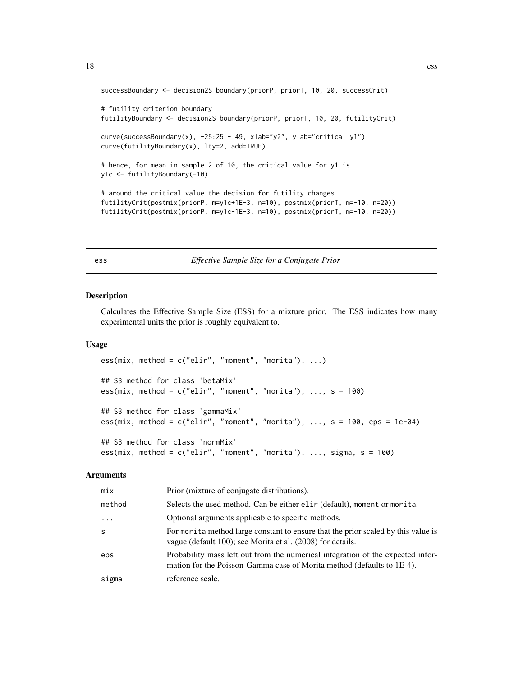```
successBoundary <- decision2S_boundary(priorP, priorT, 10, 20, successCrit)
# futility criterion boundary
futilityBoundary <- decision2S_boundary(priorP, priorT, 10, 20, futilityCrit)
curve(successBoundary(x), -25:25 - 49, xlab="y2", ylab="critical y1")
curve(futilityBoundary(x), lty=2, add=TRUE)
# hence, for mean in sample 2 of 10, the critical value for y1 is
y1c <- futilityBoundary(-10)
# around the critical value the decision for futility changes
futilityCrit(postmix(priorP, m=y1c+1E-3, n=10), postmix(priorT, m=-10, n=20))
futilityCrit(postmix(priorP, m=y1c-1E-3, n=10), postmix(priorT, m=-10, n=20))
```
ess *Effective Sample Size for a Conjugate Prior*

#### Description

Calculates the Effective Sample Size (ESS) for a mixture prior. The ESS indicates how many experimental units the prior is roughly equivalent to.

#### Usage

```
ess(mix, method = c("elir", "moment", "mortia"), ...)## S3 method for class 'betaMix'
ess(mix, method = c("elir", "moment", "mortia"), ..., s = 100)## S3 method for class 'gammaMix'
ess(mix, method = c("elir", "moment", "mortta"), ..., s = 100, eps = 1e-04)## S3 method for class 'normMix'
ess(min, method = c("elir", "moment", "mortia"), ..., sigma, s = 100)
```
#### Arguments

| mix     | Prior (mixture of conjugate distributions).                                                                                                               |
|---------|-----------------------------------------------------------------------------------------------------------------------------------------------------------|
| method  | Selects the used method. Can be either elir (default), moment or morita.                                                                                  |
| $\cdot$ | Optional arguments applicable to specific methods.                                                                                                        |
| S       | For morita method large constant to ensure that the prior scaled by this value is<br>vague (default 100); see Morita et al. (2008) for details.           |
| eps     | Probability mass left out from the numerical integration of the expected infor-<br>mation for the Poisson-Gamma case of Morita method (defaults to 1E-4). |
| sigma   | reference scale.                                                                                                                                          |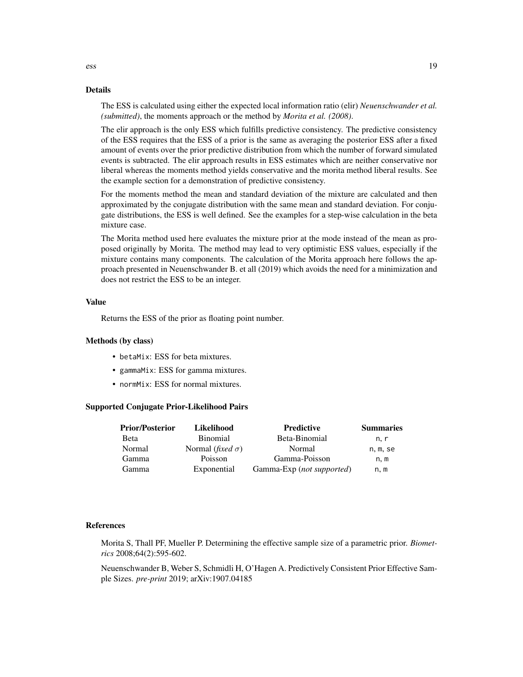#### Details

The ESS is calculated using either the expected local information ratio (elir) *Neuenschwander et al. (submitted)*, the moments approach or the method by *Morita et al. (2008)*.

The elir approach is the only ESS which fulfills predictive consistency. The predictive consistency of the ESS requires that the ESS of a prior is the same as averaging the posterior ESS after a fixed amount of events over the prior predictive distribution from which the number of forward simulated events is subtracted. The elir approach results in ESS estimates which are neither conservative nor liberal whereas the moments method yields conservative and the morita method liberal results. See the example section for a demonstration of predictive consistency.

For the moments method the mean and standard deviation of the mixture are calculated and then approximated by the conjugate distribution with the same mean and standard deviation. For conjugate distributions, the ESS is well defined. See the examples for a step-wise calculation in the beta mixture case.

The Morita method used here evaluates the mixture prior at the mode instead of the mean as proposed originally by Morita. The method may lead to very optimistic ESS values, especially if the mixture contains many components. The calculation of the Morita approach here follows the approach presented in Neuenschwander B. et all (2019) which avoids the need for a minimization and does not restrict the ESS to be an integer.

#### Value

Returns the ESS of the prior as floating point number.

#### Methods (by class)

- betaMix: ESS for beta mixtures.
- gammaMix: ESS for gamma mixtures.
- normMix: ESS for normal mixtures.

#### Supported Conjugate Prior-Likelihood Pairs

| <b>Prior/Posterior</b> | Likelihood                       | <b>Predictive</b>         | <b>Summaries</b> |
|------------------------|----------------------------------|---------------------------|------------------|
| <b>Beta</b>            | <b>Binomial</b>                  | Beta-Binomial             | n. r             |
| Normal                 | Normal ( <i>fixed</i> $\sigma$ ) | Normal                    | n, m, se         |
| Gamma                  | Poisson                          | Gamma-Poisson             | n.m              |
| Gamma                  | Exponential                      | Gamma-Exp (not supported) | n, m             |

#### References

Morita S, Thall PF, Mueller P. Determining the effective sample size of a parametric prior. *Biometrics* 2008;64(2):595-602.

Neuenschwander B, Weber S, Schmidli H, O'Hagen A. Predictively Consistent Prior Effective Sample Sizes. *pre-print* 2019; arXiv:1907.04185

ess and the set of the set of the set of the set of the set of the set of the set of the set of the set of the set of the set of the set of the set of the set of the set of the set of the set of the set of the set of the s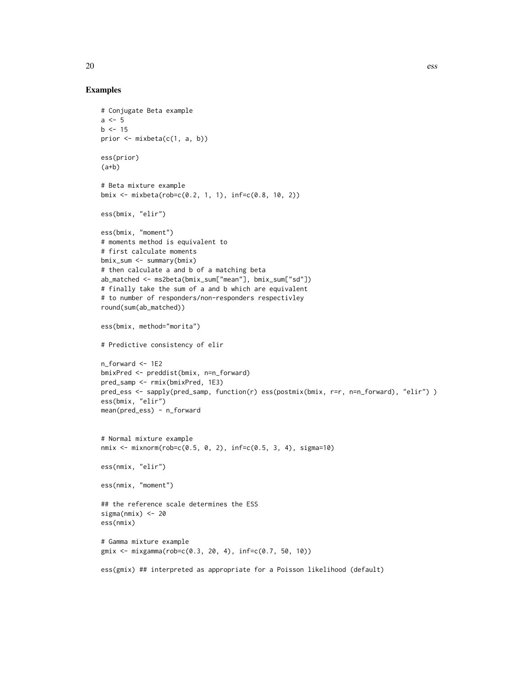#### Examples

```
# Conjugate Beta example
a \leq -5b \le -15prior \leq mixbeta(c(1, a, b))
ess(prior)
(a+b)# Beta mixture example
bmix <- mixbeta(rob=c(0.2, 1, 1), inf=c(0.8, 10, 2))
ess(bmix, "elir")
ess(bmix, "moment")
# moments method is equivalent to
# first calculate moments
bmix_sum <- summary(bmix)
# then calculate a and b of a matching beta
ab_matched <- ms2beta(bmix_sum["mean"], bmix_sum["sd"])
# finally take the sum of a and b which are equivalent
# to number of responders/non-responders respectivley
round(sum(ab_matched))
ess(bmix, method="morita")
# Predictive consistency of elir
n_forward <- 1E2
bmixPred <- preddist(bmix, n=n_forward)
pred_samp <- rmix(bmixPred, 1E3)
pred_ess <- sapply(pred_samp, function(r) ess(postmix(bmix, r=r, n=n_forward), "elir") )
ess(bmix, "elir")
mean(pred_ess) - n_forward
# Normal mixture example
nmix <- mixnorm(rob=c(0.5, 0, 2), inf=c(0.5, 3, 4), sigma=10)
ess(nmix, "elir")
ess(nmix, "moment")
## the reference scale determines the ESS
sigma(nmix) <- 20
ess(nmix)
# Gamma mixture example
gmix <- mixgamma(rob=c(0.3, 20, 4), inf=c(0.7, 50, 10))
ess(gmix) ## interpreted as appropriate for a Poisson likelihood (default)
```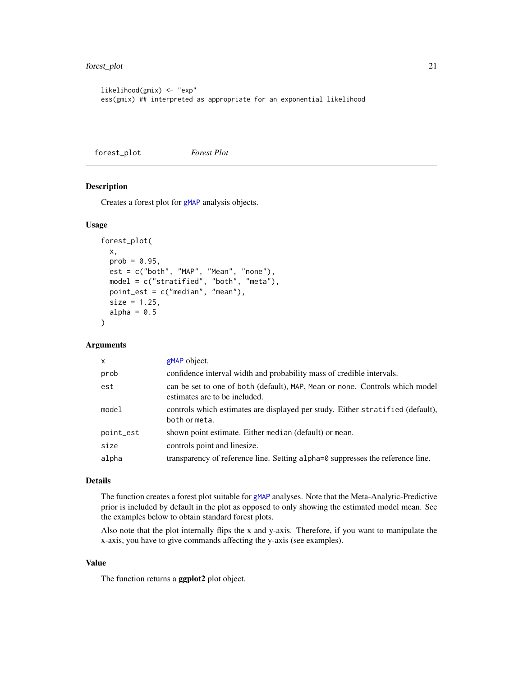```
likelihood(gmix) <- "exp"
ess(gmix) ## interpreted as appropriate for an exponential likelihood
```
<span id="page-20-1"></span>forest\_plot *Forest Plot*

#### Description

Creates a forest plot for [gMAP](#page-21-1) analysis objects.

#### Usage

```
forest_plot(
 x,
 prob = 0.95,
 est = c("both", "MAP", "Mean", "none"),
 model = c("stratified", "both", "meta"),
 point_est = c("median", "mean"),
 size = 1.25,
 alpha = 0.5)
```
#### Arguments

| $\mathsf{x}$ | gMAP object.                                                                                                  |
|--------------|---------------------------------------------------------------------------------------------------------------|
| prob         | confidence interval width and probability mass of credible intervals.                                         |
| est          | can be set to one of both (default), MAP, Mean or none. Controls which model<br>estimates are to be included. |
| model        | controls which estimates are displayed per study. Either stratified (default),<br>both or meta.               |
| point_est    | shown point estimate. Either median (default) or mean.                                                        |
| size         | controls point and linesize.                                                                                  |
| alpha        | transparency of reference line. Setting alpha=0 suppresses the reference line.                                |

#### Details

The function creates a forest plot suitable for [gMAP](#page-21-1) analyses. Note that the Meta-Analytic-Predictive prior is included by default in the plot as opposed to only showing the estimated model mean. See the examples below to obtain standard forest plots.

Also note that the plot internally flips the x and y-axis. Therefore, if you want to manipulate the x-axis, you have to give commands affecting the y-axis (see examples).

#### Value

The function returns a **ggplot2** plot object.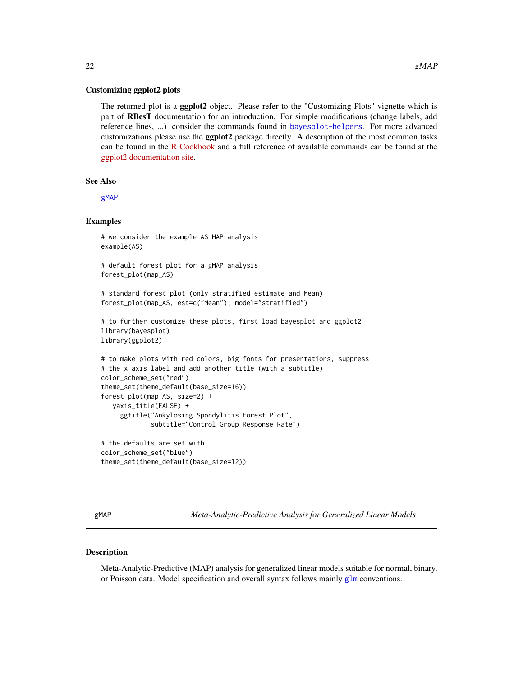#### <span id="page-21-0"></span>Customizing ggplot2 plots

The returned plot is a **ggplot2** object. Please refer to the "Customizing Plots" vignette which is part of RBesT documentation for an introduction. For simple modifications (change labels, add reference lines, ...) consider the commands found in [bayesplot-helpers](#page-0-0). For more advanced customizations please use the ggplot2 package directly. A description of the most common tasks can be found in the [R Cookbook](http://www.cookbook-r.com/Graphs/) and a full reference of available commands can be found at the [ggplot2 documentation site.](https://ggplot2.tidyverse.org/reference/)

#### See Also

[gMAP](#page-21-1)

#### Examples

```
# we consider the example AS MAP analysis
example(AS)
# default forest plot for a gMAP analysis
forest_plot(map_AS)
# standard forest plot (only stratified estimate and Mean)
forest_plot(map_AS, est=c("Mean"), model="stratified")
# to further customize these plots, first load bayesplot and ggplot2
library(bayesplot)
library(ggplot2)
# to make plots with red colors, big fonts for presentations, suppress
# the x axis label and add another title (with a subtitle)
color_scheme_set("red")
theme_set(theme_default(base_size=16))
forest_plot(map_AS, size=2) +
  yaxis_title(FALSE) +
     ggtitle("Ankylosing Spondylitis Forest Plot",
             subtitle="Control Group Response Rate")
# the defaults are set with
color_scheme_set("blue")
theme_set(theme_default(base_size=12))
```
<span id="page-21-1"></span>gMAP *Meta-Analytic-Predictive Analysis for Generalized Linear Models*

#### Description

Meta-Analytic-Predictive (MAP) analysis for generalized linear models suitable for normal, binary, or Poisson data. Model specification and overall syntax follows mainly [glm](#page-0-0) conventions.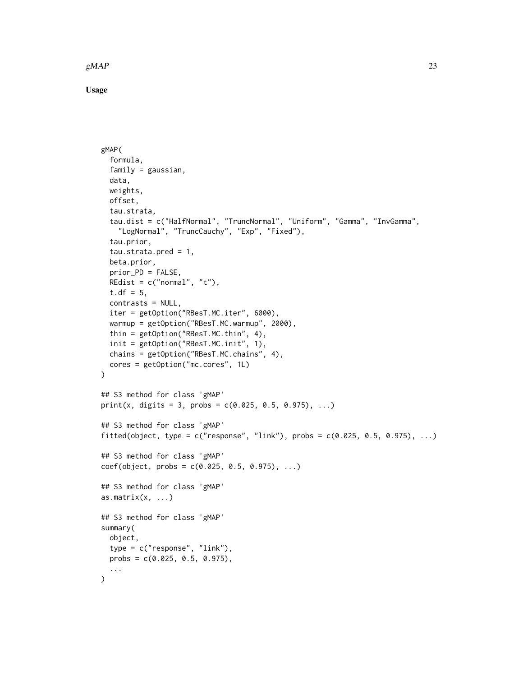$gMAP$  23

Usage

```
gMAP(
  formula,
  family = gaussian,
  data,
 weights,
  offset,
  tau.strata,
  tau.dist = c("HalfNormal", "TruncNormal", "Uniform", "Gamma", "InvGamma",
    "LogNormal", "TruncCauchy", "Exp", "Fixed"),
  tau.prior,
  tau.strata.pred = 1,
  beta.prior,
  prior_PD = FALSE,
 REdist = c("normal", "t"),
  t.df = 5,
  contrasts = NULL,
  iter = getOption("RBesT.MC.iter", 6000),
  warmup = getOption("RBesT.MC.warmup", 2000),
  thin = getOption("RBesT.MC.thin", 4),
  init = getOption("RBesT.MC.init", 1),
  chains = getOption("RBesT.MC.chains", 4),
  cores = getOption("mc.cores", 1L)
)
## S3 method for class 'gMAP'
print(x, digits = 3, probs = c(0.025, 0.5, 0.975), ...)
## S3 method for class 'gMAP'
fitted(object, type = c("response", "link"), probs = c(0.025, 0.5, 0.975), ...)
## S3 method for class 'gMAP'
coef(object, probs = c(0.025, 0.5, 0.975), ...)## S3 method for class 'gMAP'
as.matrix(x, \ldots)## S3 method for class 'gMAP'
summary(
 object,
  type = c("response", "link"),
 probs = c(0.025, 0.5, 0.975),
  ...
)
```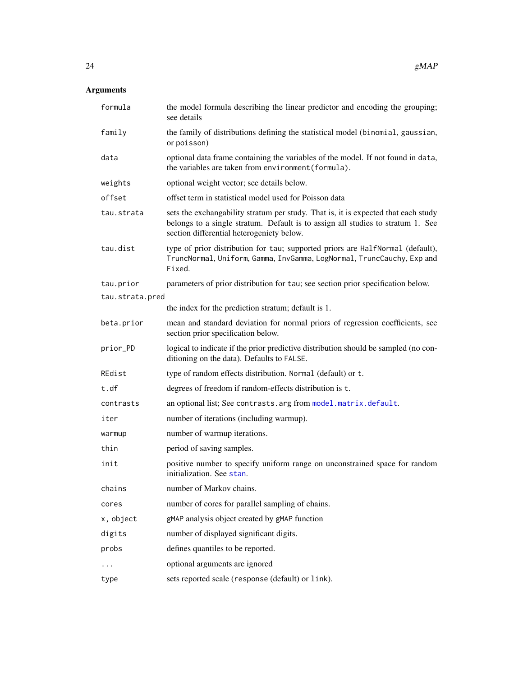## <span id="page-23-0"></span>Arguments

| formula         | the model formula describing the linear predictor and encoding the grouping;<br>see details                                                                                                                        |
|-----------------|--------------------------------------------------------------------------------------------------------------------------------------------------------------------------------------------------------------------|
| family          | the family of distributions defining the statistical model (binomial, gaussian,<br>or poisson)                                                                                                                     |
| data            | optional data frame containing the variables of the model. If not found in data,<br>the variables are taken from environment (formula).                                                                            |
| weights         | optional weight vector; see details below.                                                                                                                                                                         |
| offset          | offset term in statistical model used for Poisson data                                                                                                                                                             |
| tau.strata      | sets the exchangability stratum per study. That is, it is expected that each study<br>belongs to a single stratum. Default is to assign all studies to stratum 1. See<br>section differential heterogeniety below. |
| tau.dist        | type of prior distribution for tau; supported priors are HalfNormal (default),<br>TruncNormal, Uniform, Gamma, InvGamma, LogNormal, TruncCauchy, Exp and<br>Fixed.                                                 |
| tau.prior       | parameters of prior distribution for tau; see section prior specification below.                                                                                                                                   |
| tau.strata.pred |                                                                                                                                                                                                                    |
|                 | the index for the prediction stratum; default is 1.                                                                                                                                                                |
| beta.prior      | mean and standard deviation for normal priors of regression coefficients, see<br>section prior specification below.                                                                                                |
| prior_PD        | logical to indicate if the prior predictive distribution should be sampled (no con-<br>ditioning on the data). Defaults to FALSE.                                                                                  |
| REdist          | type of random effects distribution. Normal (default) or t.                                                                                                                                                        |
| t.df            | degrees of freedom if random-effects distribution is t.                                                                                                                                                            |
| contrasts       | an optional list; See contrasts. arg from model. matrix. default.                                                                                                                                                  |
| iter            | number of iterations (including warmup).                                                                                                                                                                           |
| warmup          | number of warmup iterations.                                                                                                                                                                                       |
| thin            | period of saving samples.                                                                                                                                                                                          |
| init            | positive number to specify uniform range on unconstrained space for random<br>initialization. See stan.                                                                                                            |
| chains          | number of Markov chains.                                                                                                                                                                                           |
| cores           | number of cores for parallel sampling of chains.                                                                                                                                                                   |
| x, object       | gMAP analysis object created by gMAP function                                                                                                                                                                      |
| digits          | number of displayed significant digits.                                                                                                                                                                            |
| probs           | defines quantiles to be reported.                                                                                                                                                                                  |
| .               | optional arguments are ignored                                                                                                                                                                                     |
| type            | sets reported scale (response (default) or link).                                                                                                                                                                  |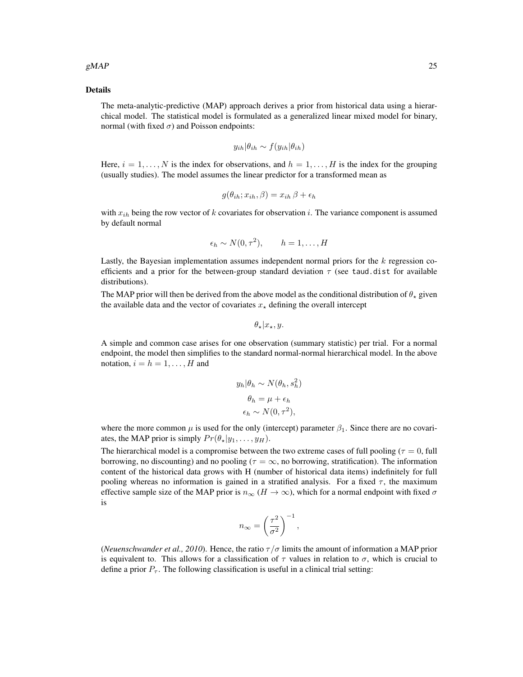#### $gMAP$  25

#### Details

The meta-analytic-predictive (MAP) approach derives a prior from historical data using a hierarchical model. The statistical model is formulated as a generalized linear mixed model for binary, normal (with fixed  $\sigma$ ) and Poisson endpoints:

$$
y_{ih}|\theta_{ih} \sim f(y_{ih}|\theta_{ih})
$$

Here,  $i = 1, \ldots, N$  is the index for observations, and  $h = 1, \ldots, H$  is the index for the grouping (usually studies). The model assumes the linear predictor for a transformed mean as

$$
g(\theta_{ih}; x_{ih}, \beta) = x_{ih} \beta + \epsilon_h
$$

with  $x_{ih}$  being the row vector of k covariates for observation i. The variance component is assumed by default normal

$$
\epsilon_h \sim N(0, \tau^2), \qquad h = 1, \dots, H
$$

Lastly, the Bayesian implementation assumes independent normal priors for the  $k$  regression coefficients and a prior for the between-group standard deviation  $\tau$  (see taud.dist for available distributions).

The MAP prior will then be derived from the above model as the conditional distribution of  $\theta_{\star}$  given the available data and the vector of covariates  $x_{\star}$  defining the overall intercept

$$
\theta_{\star}|x_{\star},y.
$$

A simple and common case arises for one observation (summary statistic) per trial. For a normal endpoint, the model then simplifies to the standard normal-normal hierarchical model. In the above notation,  $i = h = 1, \ldots, H$  and

$$
y_h | \theta_h \sim N(\theta_h, s_h^2)
$$

$$
\theta_h = \mu + \epsilon_h
$$

$$
\epsilon_h \sim N(0, \tau^2),
$$

where the more common  $\mu$  is used for the only (intercept) parameter  $\beta_1$ . Since there are no covariates, the MAP prior is simply  $Pr(\theta_{\star}|y_1, \ldots, y_H)$ .

The hierarchical model is a compromise between the two extreme cases of full pooling ( $\tau = 0$ , full borrowing, no discounting) and no pooling ( $\tau = \infty$ , no borrowing, stratification). The information content of the historical data grows with H (number of historical data items) indefinitely for full pooling whereas no information is gained in a stratified analysis. For a fixed  $\tau$ , the maximum effective sample size of the MAP prior is  $n_{\infty}$  ( $H \to \infty$ ), which for a normal endpoint with fixed  $\sigma$ is

$$
n_{\infty} = \left(\frac{\tau^2}{\sigma^2}\right)^{-1},
$$

(*Neuenschwander et al., 2010*). Hence, the ratio  $\tau/\sigma$  limits the amount of information a MAP prior is equivalent to. This allows for a classification of  $\tau$  values in relation to  $\sigma$ , which is crucial to define a prior  $P_{\tau}$ . The following classification is useful in a clinical trial setting: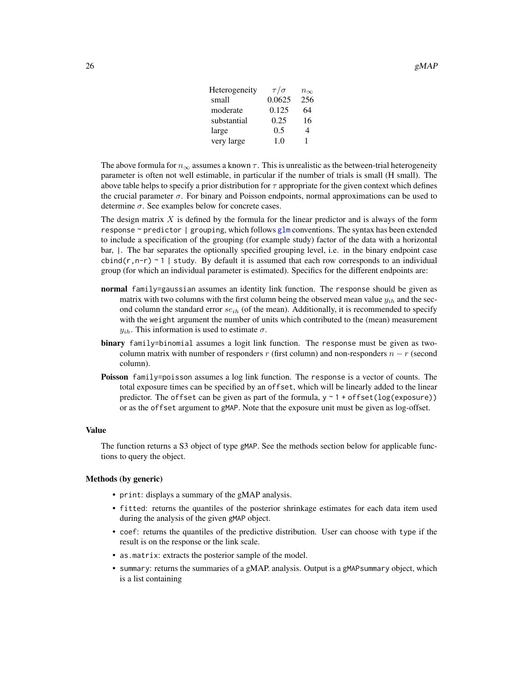<span id="page-25-0"></span>

| 26 | gMAP |
|----|------|
|    |      |

| $\tau/\sigma$ | $n_{\infty}$ |
|---------------|--------------|
| 0.0625        | 256          |
| 0.125         | 64           |
| 0.25          | 16           |
| 0.5           | 4            |
| 1.0           | 1            |
|               |              |

The above formula for  $n_{\infty}$  assumes a known  $\tau$ . This is unrealistic as the between-trial heterogeneity parameter is often not well estimable, in particular if the number of trials is small (H small). The above table helps to specify a prior distribution for  $\tau$  appropriate for the given context which defines the crucial parameter  $\sigma$ . For binary and Poisson endpoints, normal approximations can be used to determine  $\sigma$ . See examples below for concrete cases.

The design matrix  $X$  is defined by the formula for the linear predictor and is always of the form response  $\sim$  predictor | grouping, which follows [glm](#page-0-0) conventions. The syntax has been extended to include a specification of the grouping (for example study) factor of the data with a horizontal bar, |. The bar separates the optionally specified grouping level, i.e. in the binary endpoint case cbind( $r, n-r$ ) ~ 1 | study. By default it is assumed that each row corresponds to an individual group (for which an individual parameter is estimated). Specifics for the different endpoints are:

- **normal** family=gaussian assumes an identity link function. The response should be given as matrix with two columns with the first column being the observed mean value  $y_{ih}$  and the second column the standard error  $se_{ih}$  (of the mean). Additionally, it is recommended to specify with the weight argument the number of units which contributed to the (mean) measurement  $y_{ih}$ . This information is used to estimate  $\sigma$ .
- binary family=binomial assumes a logit link function. The response must be given as twocolumn matrix with number of responders r (first column) and non-responders  $n - r$  (second column).
- **Poisson** family=poisson assumes a log link function. The response is a vector of counts. The total exposure times can be specified by an offset, which will be linearly added to the linear predictor. The offset can be given as part of the formula,  $y \sim 1 + \text{offset}(\log(\text{exposure}))$ or as the offset argument to gMAP. Note that the exposure unit must be given as log-offset.

#### Value

The function returns a S3 object of type gMAP. See the methods section below for applicable functions to query the object.

#### Methods (by generic)

- print: displays a summary of the gMAP analysis.
- fitted: returns the quantiles of the posterior shrinkage estimates for each data item used during the analysis of the given gMAP object.
- coef: returns the quantiles of the predictive distribution. User can choose with type if the result is on the response or the link scale.
- as.matrix: extracts the posterior sample of the model.
- summary: returns the summaries of a gMAP. analysis. Output is a gMAPsummary object, which is a list containing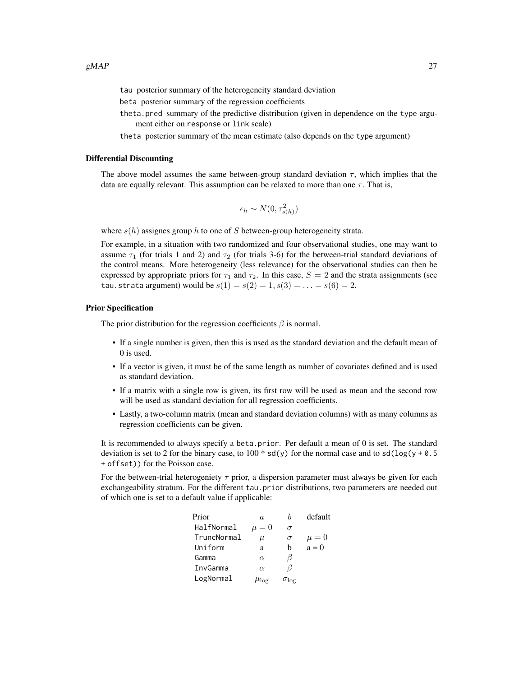tau posterior summary of the heterogeneity standard deviation

- beta posterior summary of the regression coefficients
- theta.pred summary of the predictive distribution (given in dependence on the type argument either on response or link scale)

theta posterior summary of the mean estimate (also depends on the type argument)

#### Differential Discounting

The above model assumes the same between-group standard deviation  $\tau$ , which implies that the data are equally relevant. This assumption can be relaxed to more than one  $\tau$ . That is,

$$
\epsilon_h \sim N(0, \tau_{s(h)}^2)
$$

where  $s(h)$  assignes group h to one of S between-group heterogeneity strata.

For example, in a situation with two randomized and four observational studies, one may want to assume  $\tau_1$  (for trials 1 and 2) and  $\tau_2$  (for trials 3-6) for the between-trial standard deviations of the control means. More heterogeneity (less relevance) for the observational studies can then be expressed by appropriate priors for  $\tau_1$  and  $\tau_2$ . In this case,  $S = 2$  and the strata assignments (see tau.strata argument) would be  $s(1) = s(2) = 1, s(3) = ... = s(6) = 2$ .

#### Prior Specification

The prior distribution for the regression coefficients  $\beta$  is normal.

- If a single number is given, then this is used as the standard deviation and the default mean of 0 is used.
- If a vector is given, it must be of the same length as number of covariates defined and is used as standard deviation.
- If a matrix with a single row is given, its first row will be used as mean and the second row will be used as standard deviation for all regression coefficients.
- Lastly, a two-column matrix (mean and standard deviation columns) with as many columns as regression coefficients can be given.

It is recommended to always specify a beta.prior. Per default a mean of 0 is set. The standard deviation is set to 2 for the binary case, to 100  $*$  sd(y) for the normal case and to sd( $\log(y + 0.5)$ + offset)) for the Poisson case.

For the between-trial heterogeniety  $\tau$  prior, a dispersion parameter must always be given for each exchangeability stratum. For the different tau.prior distributions, two parameters are needed out of which one is set to a default value if applicable:

| Prior       | $\alpha$        | h                  | default   |
|-------------|-----------------|--------------------|-----------|
| HalfNormal  | $\mu=0$         | $\sigma$           |           |
| TruncNormal | $\mu$           | $\sigma$           | $\mu = 0$ |
| Uniform     | a               | h                  | $a = 0$   |
| Gamma       | $\alpha$        | ß                  |           |
| InvGamma    | $\alpha$        | ß                  |           |
| LogNormal   | $\mu_{\rm loe}$ | $\sigma_{\rm log}$ |           |
|             |                 |                    |           |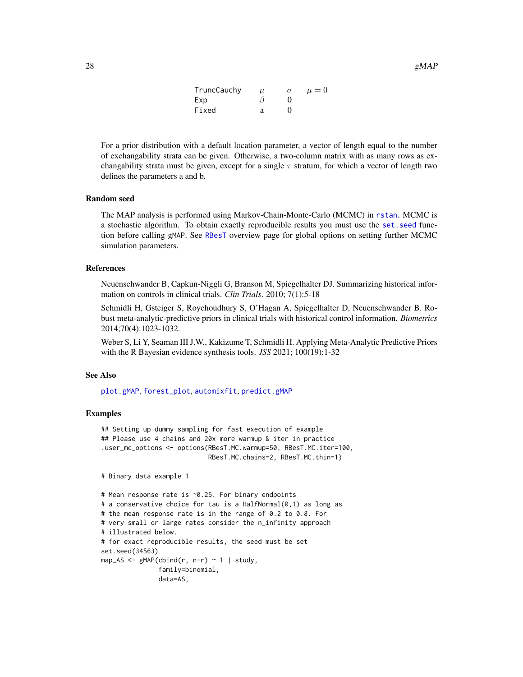| TruncCauchy | $\mu$ | $\sigma$ | $\mu = 0$ |
|-------------|-------|----------|-----------|
| Exp         |       |          |           |
| Fixed       | я     |          |           |

<span id="page-27-0"></span>For a prior distribution with a default location parameter, a vector of length equal to the number of exchangability strata can be given. Otherwise, a two-column matrix with as many rows as exchangability strata must be given, except for a single  $\tau$  stratum, for which a vector of length two defines the parameters a and b.

#### Random seed

The MAP analysis is performed using Markov-Chain-Monte-Carlo (MCMC) in [rstan](#page-0-0). MCMC is a stochastic algorithm. To obtain exactly reproducible results you must use the [set.seed](#page-0-0) function before calling gMAP. See [RBesT](#page-2-1) overview page for global options on setting further MCMC simulation parameters.

#### References

Neuenschwander B, Capkun-Niggli G, Branson M, Spiegelhalter DJ. Summarizing historical information on controls in clinical trials. *Clin Trials*. 2010; 7(1):5-18

Schmidli H, Gsteiger S, Roychoudhury S, O'Hagan A, Spiegelhalter D, Neuenschwander B. Robust meta-analytic-predictive priors in clinical trials with historical control information. *Biometrics* 2014;70(4):1023-1032.

Weber S, Li Y, Seaman III J.W., Kakizume T, Schmidli H. Applying Meta-Analytic Predictive Priors with the R Bayesian evidence synthesis tools. *JSS* 2021; 100(19):1-32

#### See Also

[plot.gMAP](#page-50-1), [forest\\_plot](#page-20-1), [automixfit](#page-4-1), [predict.gMAP](#page-62-1)

#### Examples

```
## Setting up dummy sampling for fast execution of example
## Please use 4 chains and 20x more warmup & iter in practice
.user_mc_options <- options(RBesT.MC.warmup=50, RBesT.MC.iter=100,
                           RBesT.MC.chains=2, RBesT.MC.thin=1)
```

```
# Binary data example 1
```

```
# Mean response rate is ~0.25. For binary endpoints
# a conservative choice for tau is a HalfNormal(0,1) as long as
# the mean response rate is in the range of 0.2 to 0.8. For
# very small or large rates consider the n_infinity approach
# illustrated below.
# for exact reproducible results, the seed must be set
set.seed(34563)
map_AS <- gMAP(cbind(r, n-r) \sim 1 | study,
               family=binomial,
               data=AS,
```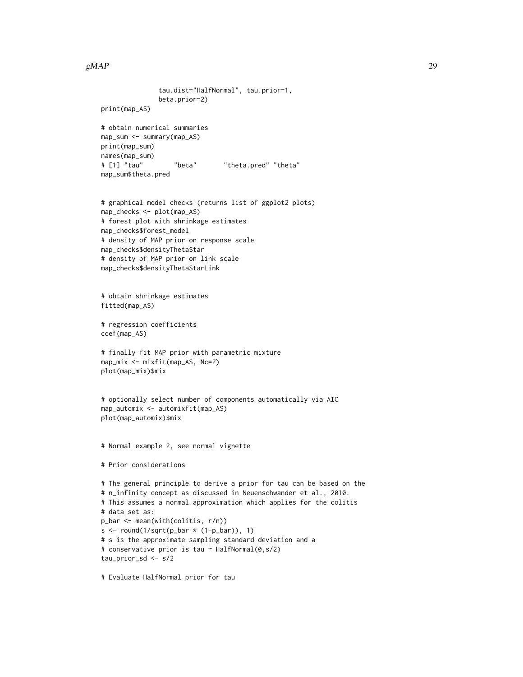#### $gMAP$  29

```
tau.dist="HalfNormal", tau.prior=1,
               beta.prior=2)
print(map_AS)
# obtain numerical summaries
map_sum <- summary(map_AS)
print(map_sum)
names(map_sum)
# [1] "tau" "beta" "theta.pred" "theta"
map_sum$theta.pred
# graphical model checks (returns list of ggplot2 plots)
map_checks <- plot(map_AS)
# forest plot with shrinkage estimates
map_checks$forest_model
# density of MAP prior on response scale
map_checks$densityThetaStar
# density of MAP prior on link scale
map_checks$densityThetaStarLink
# obtain shrinkage estimates
fitted(map_AS)
# regression coefficients
coef(map_AS)
# finally fit MAP prior with parametric mixture
map_mix <- mixfit(map_AS, Nc=2)
plot(map_mix)$mix
# optionally select number of components automatically via AIC
map_automix <- automixfit(map_AS)
plot(map_automix)$mix
# Normal example 2, see normal vignette
# Prior considerations
# The general principle to derive a prior for tau can be based on the
# n_infinity concept as discussed in Neuenschwander et al., 2010.
# This assumes a normal approximation which applies for the colitis
# data set as:
p_bar <- mean(with(colitis, r/n))
s \le round(1/sqrt(p_bar \star (1-p_bar)), 1)
# s is the approximate sampling standard deviation and a
# conservative prior is tau ~ HalfNormal(0,s/2)
tau_prior_sd <- s/2
```
# Evaluate HalfNormal prior for tau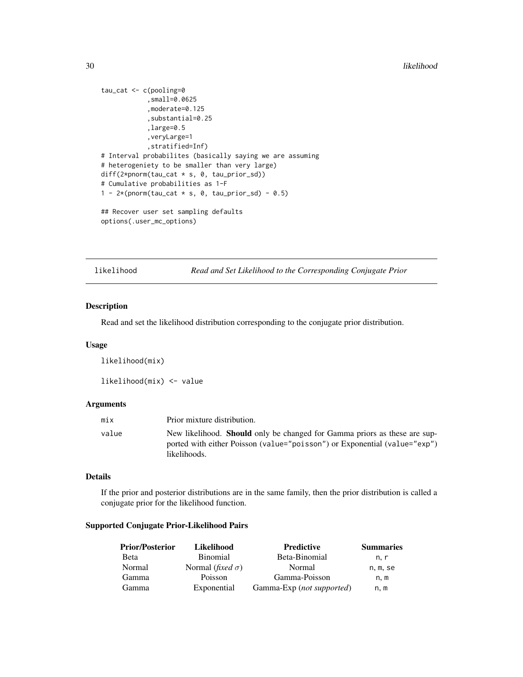#### <span id="page-29-0"></span>30 likelihood

```
tau_cat <- c(pooling=0
            ,small=0.0625
            ,moderate=0.125
            ,substantial=0.25
            ,large=0.5
            ,veryLarge=1
            ,stratified=Inf)
# Interval probabilites (basically saying we are assuming
# heterogeniety to be smaller than very large)
diff(2*pnorm(tau_cat * s, 0, tau_prior_sd))
# Cumulative probabilities as 1-F
1 - 2*(\text{pnorm}(\text{tau} \times s, 0, \text{tau\_prior\_sd}) - 0.5)## Recover user set sampling defaults
```
options(.user\_mc\_options)

likelihood *Read and Set Likelihood to the Corresponding Conjugate Prior*

#### Description

Read and set the likelihood distribution corresponding to the conjugate prior distribution.

#### Usage

likelihood(mix)

likelihood(mix) <- value

#### Arguments

| mix   | Prior mixture distribution.                                                                                                                                                   |
|-------|-------------------------------------------------------------------------------------------------------------------------------------------------------------------------------|
| value | New likelihood. <b>Should</b> only be changed for Gamma priors as these are sup-<br>ported with either Poisson (value="poisson") or Exponential (value="exp")<br>likelihoods. |

#### Details

If the prior and posterior distributions are in the same family, then the prior distribution is called a conjugate prior for the likelihood function.

#### Supported Conjugate Prior-Likelihood Pairs

| <b>Prior/Posterior</b> | Likelihood                       | <b>Predictive</b>         | <b>Summaries</b> |
|------------------------|----------------------------------|---------------------------|------------------|
| <b>Beta</b>            | <b>Binomial</b>                  | Beta-Binomial             | n. r             |
| Normal                 | Normal ( <i>fixed</i> $\sigma$ ) | Normal                    | n, m, se         |
| Gamma                  | Poisson                          | Gamma-Poisson             | n.m              |
| Gamma                  | Exponential                      | Gamma-Exp (not supported) | n. m             |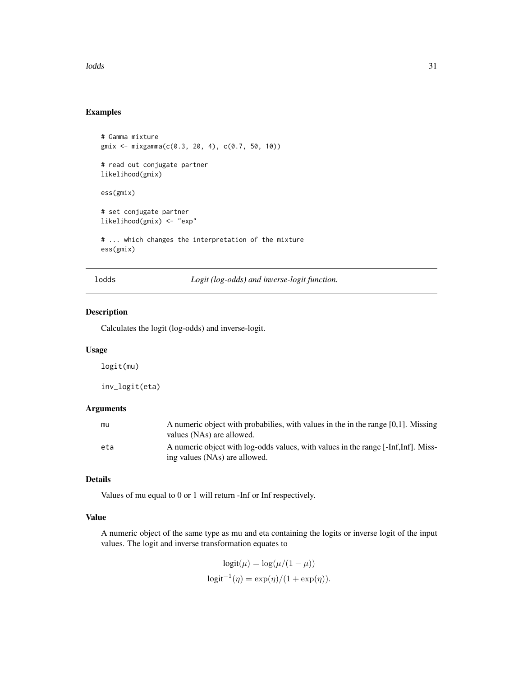<span id="page-30-0"></span>lodds 31

#### Examples

```
# Gamma mixture
gmix <- mixgamma(c(0.3, 20, 4), c(0.7, 50, 10))
# read out conjugate partner
likelihood(gmix)
ess(gmix)
# set conjugate partner
likelihood(gmix) <- "exp"
# ... which changes the interpretation of the mixture
ess(gmix)
```
lodds *Logit (log-odds) and inverse-logit function.*

#### Description

Calculates the logit (log-odds) and inverse-logit.

#### Usage

logit(mu)

inv\_logit(eta)

#### Arguments

| mu  | A numeric object with probabilies, with values in the in the range $[0,1]$ . Missing<br>values (NAs) are allowed.   |
|-----|---------------------------------------------------------------------------------------------------------------------|
| eta | A numeric object with log-odds values, with values in the range [-Inf, Inf]. Miss-<br>ing values (NAs) are allowed. |

### Details

Values of mu equal to 0 or 1 will return -Inf or Inf respectively.

#### Value

A numeric object of the same type as mu and eta containing the logits or inverse logit of the input values. The logit and inverse transformation equates to

$$
logit(\mu) = log(\mu/(1 - \mu))
$$

$$
logit^{-1}(\eta) = exp(\eta)/(1 + exp(\eta)).
$$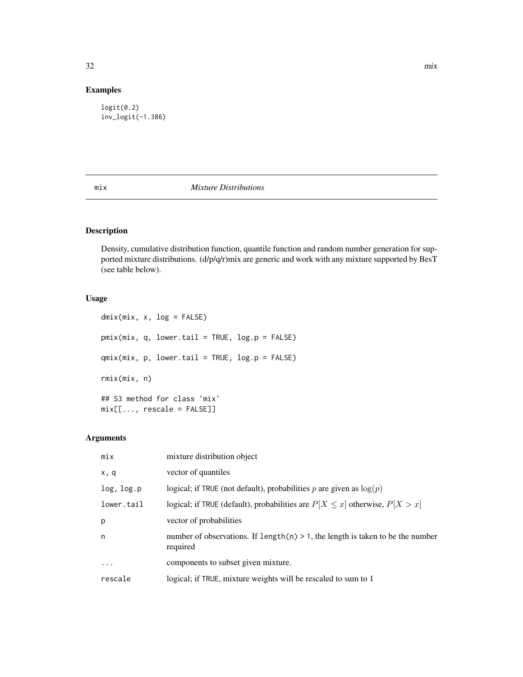#### Examples

logit(0.2) inv\_logit(-1.386)

#### <span id="page-31-1"></span>mix *Mixture Distributions*

#### Description

Density, cumulative distribution function, quantile function and random number generation for supported mixture distributions. (d/p/q/r)mix are generic and work with any mixture supported by BesT (see table below).

#### Usage

dmix(mix, x, log = FALSE) pmix(mix, q, lower.tail = TRUE, log.p = FALSE)  $qmix(mix, p, lower$  $tail = TRUE,  $log.p = FALSE$ )$ rmix(mix, n) ## S3 method for class 'mix' mix[[..., rescale = FALSE]]

#### Arguments

| mix          | mixture distribution object                                                                   |
|--------------|-----------------------------------------------------------------------------------------------|
| x, q         | vector of quantiles                                                                           |
| log, log.p   | logical; if TRUE (not default), probabilities p are given as $log(p)$                         |
| lower.tail   | logical; if TRUE (default), probabilities are $P[X \le x]$ otherwise, $P[X > x]$              |
| p            | vector of probabilities                                                                       |
| $\mathsf{n}$ | number of observations. If $length(n) > 1$ , the length is taken to be the number<br>required |
| $\cdots$     | components to subset given mixture.                                                           |
| rescale      | logical; if TRUE, mixture weights will be rescaled to sum to 1                                |

<span id="page-31-0"></span> $32 \,$  mix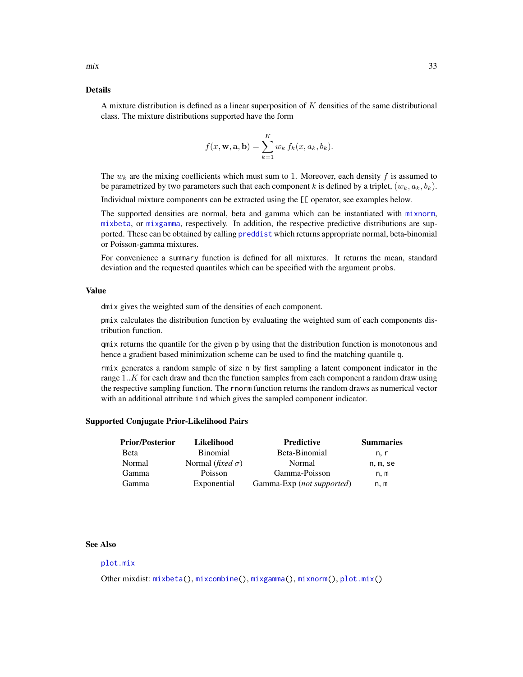<span id="page-32-0"></span>A mixture distribution is defined as a linear superposition of  $K$  densities of the same distributional class. The mixture distributions supported have the form

$$
f(x, \mathbf{w}, \mathbf{a}, \mathbf{b}) = \sum_{k=1}^{K} w_k f_k(x, a_k, b_k).
$$

The  $w_k$  are the mixing coefficients which must sum to 1. Moreover, each density f is assumed to be parametrized by two parameters such that each component k is defined by a triplet,  $(w_k, a_k, b_k)$ .

Individual mixture components can be extracted using the  $[\Gamma]$  operator, see examples below.

The supported densities are normal, beta and gamma which can be instantiated with [mixnorm](#page-41-1), [mixbeta](#page-33-1), or [mixgamma](#page-40-1), respectively. In addition, the respective predictive distributions are supported. These can be obtained by calling [preddist](#page-60-1) which returns appropriate normal, beta-binomial or Poisson-gamma mixtures.

For convenience a summary function is defined for all mixtures. It returns the mean, standard deviation and the requested quantiles which can be specified with the argument probs.

#### Value

dmix gives the weighted sum of the densities of each component.

pmix calculates the distribution function by evaluating the weighted sum of each components distribution function.

qmix returns the quantile for the given p by using that the distribution function is monotonous and hence a gradient based minimization scheme can be used to find the matching quantile q.

rmix generates a random sample of size n by first sampling a latent component indicator in the range 1..K for each draw and then the function samples from each component a random draw using the respective sampling function. The rnorm function returns the random draws as numerical vector with an additional attribute ind which gives the sampled component indicator.

#### Supported Conjugate Prior-Likelihood Pairs

| <b>Prior/Posterior</b> | Likelihood                       | <b>Predictive</b>         | <b>Summaries</b> |
|------------------------|----------------------------------|---------------------------|------------------|
| Beta                   | <b>Binomial</b>                  | Beta-Binomial             | n. r             |
| Normal                 | Normal ( <i>fixed</i> $\sigma$ ) | Normal                    | n, m, se         |
| Gamma                  | Poisson                          | Gamma-Poisson             | n.m              |
| Gamma                  | Exponential                      | Gamma-Exp (not supported) | n, m             |

#### See Also

#### [plot.mix](#page-51-1)

Other mixdist: [mixbeta\(](#page-33-1)), [mixcombine\(](#page-34-1)), [mixgamma\(](#page-40-1)), [mixnorm\(](#page-41-1)), [plot.mix\(](#page-51-1))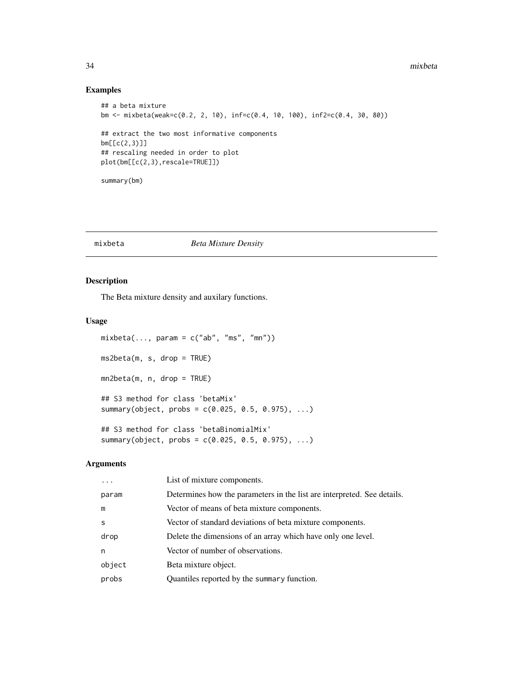#### Examples

```
## a beta mixture
bm <- mixbeta(weak=c(0.2, 2, 10), inf=c(0.4, 10, 100), inf2=c(0.4, 30, 80))
## extract the two most informative components
bm[[c(2,3)]]
## rescaling needed in order to plot
plot(bm[[c(2,3),rescale=TRUE]])
summary(bm)
```
<span id="page-33-1"></span>mixbeta *Beta Mixture Density*

#### Description

The Beta mixture density and auxilary functions.

#### Usage

```
mixbeta(..., param = c("ab", "ms", "mn"))ms2beta(m, s, drop = TRUE)
mn2beta(m, n, drop = TRUE)
## S3 method for class 'betaMix'
summary(object, probs = c(0.025, 0.5, 0.975), ...)
## S3 method for class 'betaBinomialMix'
summary(object, probs = c(0.025, 0.5, 0.975), ...)
```
#### Arguments

| $\ddotsc$    | List of mixture components.                                             |
|--------------|-------------------------------------------------------------------------|
| param        | Determines how the parameters in the list are interpreted. See details. |
| m            | Vector of means of beta mixture components.                             |
| <sub>S</sub> | Vector of standard deviations of beta mixture components.               |
| drop         | Delete the dimensions of an array which have only one level.            |
| n            | Vector of number of observations.                                       |
| object       | Beta mixture object.                                                    |
| probs        | Quantiles reported by the summary function.                             |

<span id="page-33-0"></span>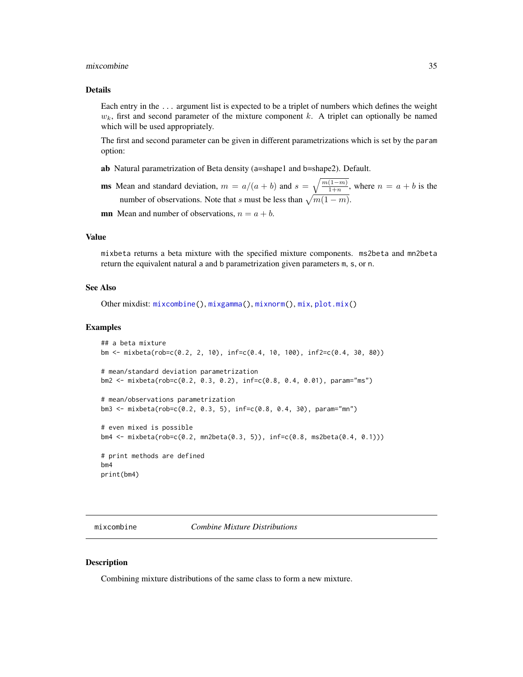#### <span id="page-34-0"></span>mixcombine 35

#### Details

Each entry in the ... argument list is expected to be a triplet of numbers which defines the weight  $w_k$ , first and second parameter of the mixture component k. A triplet can optionally be named which will be used appropriately.

The first and second parameter can be given in different parametrizations which is set by the param option:

- ab Natural parametrization of Beta density (a=shape1 and b=shape2). Default.
- **ms** Mean and standard deviation,  $m = a/(a + b)$  and  $s = \sqrt{\frac{m(1-m)}{1+n}}$ , where  $n = a + b$  is the number of observations. Note that s must be less than  $\sqrt{m(1-m)}$ .
- **mn** Mean and number of observations,  $n = a + b$ .

#### Value

mixbeta returns a beta mixture with the specified mixture components. ms2beta and mn2beta return the equivalent natural a and b parametrization given parameters m, s, or n.

#### See Also

```
Other mixdist: mixcombine(), mixgamma(), mixnorm(), mix, plot.mix()
```
#### Examples

```
## a beta mixture
bm <- mixbeta(rob=c(0.2, 2, 10), inf=c(0.4, 10, 100), inf2=c(0.4, 30, 80))
# mean/standard deviation parametrization
bm2 <- mixbeta(rob=c(0.2, 0.3, 0.2), inf=c(0.8, 0.4, 0.01), param="ms")
# mean/observations parametrization
bm3 <- mixbeta(rob=c(0.2, 0.3, 5), inf=c(0.8, 0.4, 30), param="mn")
# even mixed is possible
bm4 <- mixbeta(rob=c(0.2, mn2beta(0.3, 5)), inf=c(0.8, ms2beta(0.4, 0.1)))
# print methods are defined
bm4
print(bm4)
```
<span id="page-34-1"></span>mixcombine *Combine Mixture Distributions*

#### Description

Combining mixture distributions of the same class to form a new mixture.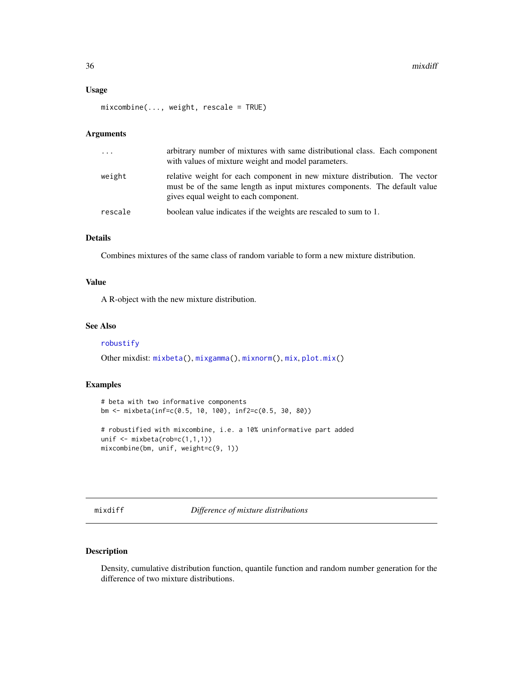#### <span id="page-35-0"></span>Usage

mixcombine(..., weight, rescale = TRUE)

#### Arguments

| $\ddots$ . | arbitrary number of mixtures with same distributional class. Each component<br>with values of mixture weight and model parameters.                                                                |
|------------|---------------------------------------------------------------------------------------------------------------------------------------------------------------------------------------------------|
| weight     | relative weight for each component in new mixture distribution. The vector<br>must be of the same length as input mixtures components. The default value<br>gives equal weight to each component. |
| rescale    | boolean value indicates if the weights are rescaled to sum to 1.                                                                                                                                  |

#### Details

Combines mixtures of the same class of random variable to form a new mixture distribution.

#### Value

A R-object with the new mixture distribution.

#### See Also

[robustify](#page-64-1)

Other mixdist: [mixbeta\(](#page-33-1)), [mixgamma\(](#page-40-1)), [mixnorm\(](#page-41-1)), [mix](#page-31-1), [plot.mix\(](#page-51-1))

#### Examples

```
# beta with two informative components
bm <- mixbeta(inf=c(0.5, 10, 100), inf2=c(0.5, 30, 80))
# robustified with mixcombine, i.e. a 10% uninformative part added
unif <- mixbeta(rob=c(1,1,1))
mixcombine(bm, unif, weight=c(9, 1))
```
mixdiff *Difference of mixture distributions*

#### Description

Density, cumulative distribution function, quantile function and random number generation for the difference of two mixture distributions.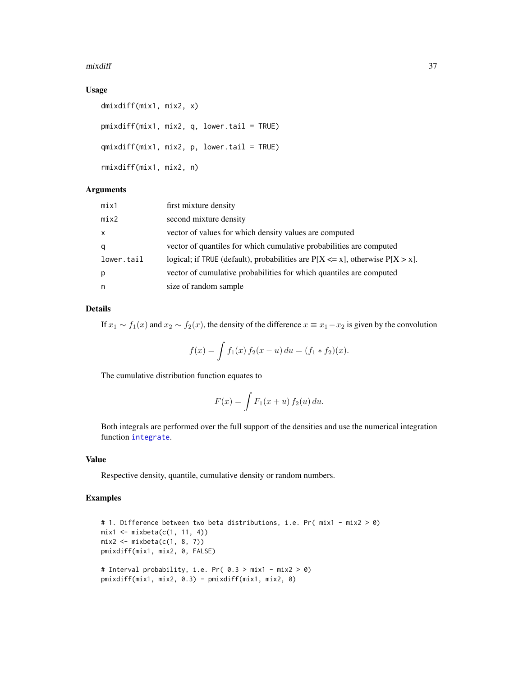#### <span id="page-36-0"></span>mixdiff 37

#### Usage

```
dmixdiff(mix1, mix2, x)
pmixdiff(mix1, mix2, q, lower.tail = TRUE)
qmixdiff(mix1, mix2, p, lower.tail = TRUE)
rmixdiff(mix1, mix2, n)
```
#### Arguments

| mix1         | first mixture density                                                               |
|--------------|-------------------------------------------------------------------------------------|
| mix2         | second mixture density                                                              |
| $\mathsf{x}$ | vector of values for which density values are computed                              |
| q            | vector of quantiles for which cumulative probabilities are computed                 |
| lower.tail   | logical; if TRUE (default), probabilities are $P[X \le x]$ , otherwise $P[X > x]$ . |
| p            | vector of cumulative probabilities for which quantiles are computed                 |
| n            | size of random sample                                                               |

#### Details

If  $x_1 \sim f_1(x)$  and  $x_2 \sim f_2(x)$ , the density of the difference  $x \equiv x_1 - x_2$  is given by the convolution

$$
f(x) = \int f_1(x) f_2(x - u) du = (f_1 * f_2)(x).
$$

The cumulative distribution function equates to

$$
F(x) = \int F_1(x+u) f_2(u) du.
$$

Both integrals are performed over the full support of the densities and use the numerical integration function [integrate](#page-0-0).

#### Value

Respective density, quantile, cumulative density or random numbers.

#### Examples

```
# 1. Difference between two beta distributions, i.e. Pr( mix1 - mix2 > 0)
mix1 \leftarrow mixbeta(c(1, 11, 4))mix2 \leftarrow mixbeta(c(1, 8, 7))pmixdiff(mix1, mix2, 0, FALSE)
# Interval probability, i.e. Pr( 0.3 > mix1 - mix2 > 0)
pmixdiff(mix1, mix2, 0.3) - pmixdiff(mix1, mix2, 0)
```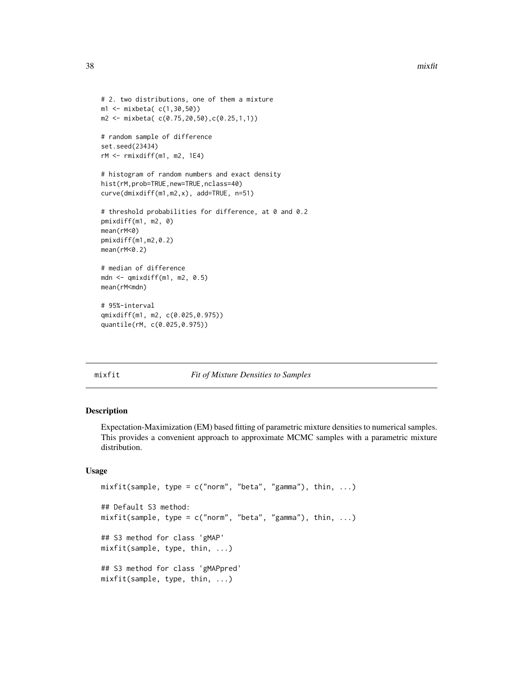```
# 2. two distributions, one of them a mixture
m1 <- mixbeta( c(1,30,50))
m2 <- mixbeta( c(0.75,20,50),c(0.25,1,1))
# random sample of difference
set.seed(23434)
rM <- rmixdiff(m1, m2, 1E4)
# histogram of random numbers and exact density
hist(rM,prob=TRUE,new=TRUE,nclass=40)
curve(dmixdiff(m1,m2,x), add=TRUE, n=51)
# threshold probabilities for difference, at 0 and 0.2
pmixdiff(m1, m2, 0)
mean(rM<0)
pmixdiff(m1,m2,0.2)
mean(rM<0.2)
# median of difference
mdn <- qmixdiff(m1, m2, 0.5)
mean(rM<mdn)
# 95%-interval
qmixdiff(m1, m2, c(0.025,0.975))
quantile(rM, c(0.025,0.975))
```
<span id="page-37-1"></span>

#### mixfit *Fit of Mixture Densities to Samples*

#### Description

Expectation-Maximization (EM) based fitting of parametric mixture densities to numerical samples. This provides a convenient approach to approximate MCMC samples with a parametric mixture distribution.

#### Usage

```
mixfit(sample, type = c("norm", "beta", "gamma"), thin, ...)## Default S3 method:
mixfit(sample, type = c("norm", "beta", "gamma"), thin, ...)
## S3 method for class 'gMAP'
mixfit(sample, type, thin, ...)
## S3 method for class 'gMAPpred'
mixfit(sample, type, thin, ...)
```
<span id="page-37-0"></span>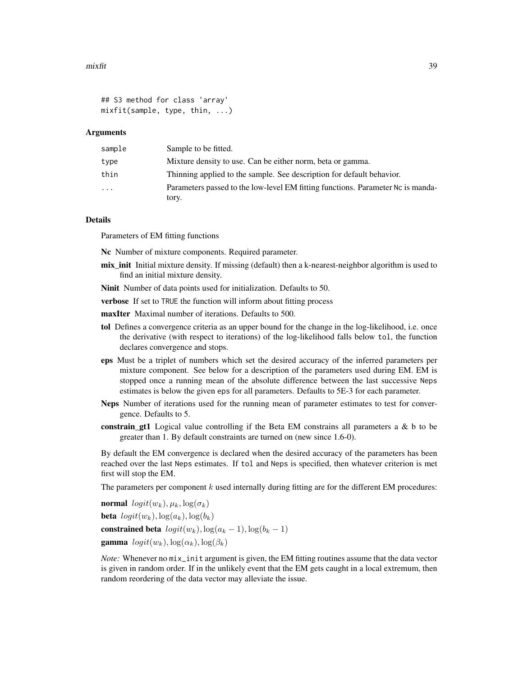```
## S3 method for class 'array'
mixfit(sample, type, thin, ...)
```
#### Arguments

| sample | Sample to be fitted.                                                            |
|--------|---------------------------------------------------------------------------------|
| type   | Mixture density to use. Can be either norm, beta or gamma.                      |
| thin   | Thinning applied to the sample. See description for default behavior.           |
| .      | Parameters passed to the low-level EM fitting functions. Parameter Nc is manda- |
|        | tory.                                                                           |

#### Details

Parameters of EM fitting functions

Nc Number of mixture components. Required parameter.

- mix\_init Initial mixture density. If missing (default) then a k-nearest-neighbor algorithm is used to find an initial mixture density.
- Ninit Number of data points used for initialization. Defaults to 50.
- verbose If set to TRUE the function will inform about fitting process
- maxIter Maximal number of iterations. Defaults to 500.
- tol Defines a convergence criteria as an upper bound for the change in the log-likelihood, i.e. once the derivative (with respect to iterations) of the log-likelihood falls below tol, the function declares convergence and stops.
- eps Must be a triplet of numbers which set the desired accuracy of the inferred parameters per mixture component. See below for a description of the parameters used during EM. EM is stopped once a running mean of the absolute difference between the last successive Neps estimates is below the given eps for all parameters. Defaults to 5E-3 for each parameter.
- Neps Number of iterations used for the running mean of parameter estimates to test for convergence. Defaults to 5.
- constrain\_gt1 Logical value controlling if the Beta EM constrains all parameters a  $\&$  b to be greater than 1. By default constraints are turned on (new since 1.6-0).

By default the EM convergence is declared when the desired accuracy of the parameters has been reached over the last Neps estimates. If tol and Neps is specified, then whatever criterion is met first will stop the EM.

The parameters per component  $k$  used internally during fitting are for the different EM procedures:

normal  $logit(w_k), \mu_k, \log(\sigma_k)$ 

**beta**  $logit(w_k)$ ,  $log(a_k)$ ,  $log(b_k)$ 

constrained beta  $logit(w_k)$ ,  $log(a_k - 1)$ ,  $log(b_k - 1)$ 

**gamma**  $logit(w_k), log(\alpha_k), log(\beta_k)$ 

*Note:* Whenever no mix\_init argument is given, the EM fitting routines assume that the data vector is given in random order. If in the unlikely event that the EM gets caught in a local extremum, then random reordering of the data vector may alleviate the issue.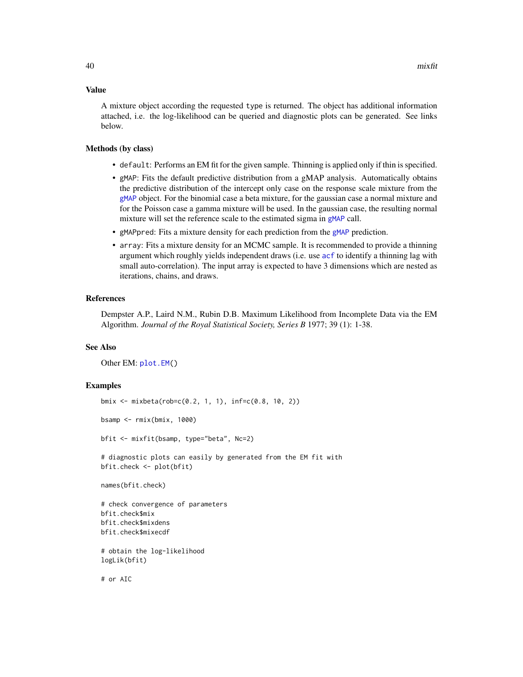#### <span id="page-39-0"></span>Value

A mixture object according the requested type is returned. The object has additional information attached, i.e. the log-likelihood can be queried and diagnostic plots can be generated. See links below.

#### Methods (by class)

- default: Performs an EM fit for the given sample. Thinning is applied only if thin is specified.
- gMAP: Fits the default predictive distribution from a gMAP analysis. Automatically obtains the predictive distribution of the intercept only case on the response scale mixture from the [gMAP](#page-21-1) object. For the binomial case a beta mixture, for the gaussian case a normal mixture and for the Poisson case a gamma mixture will be used. In the gaussian case, the resulting normal mixture will set the reference scale to the estimated sigma in [gMAP](#page-21-1) call.
- gMAPpred: Fits a mixture density for each prediction from the [gMAP](#page-21-1) prediction.
- array: Fits a mixture density for an MCMC sample. It is recommended to provide a thinning argument which roughly yields independent draws (i.e. use [acf](#page-0-0) to identify a thinning lag with small auto-correlation). The input array is expected to have 3 dimensions which are nested as iterations, chains, and draws.

#### References

Dempster A.P., Laird N.M., Rubin D.B. Maximum Likelihood from Incomplete Data via the EM Algorithm. *Journal of the Royal Statistical Society, Series B* 1977; 39 (1): 1-38.

#### See Also

Other EM: [plot.EM\(](#page-49-1))

#### Examples

```
bmix <- mixbeta(rob=c(0.2, 1, 1), inf=c(0.8, 10, 2))
bsamp <- rmix(bmix, 1000)
bfit <- mixfit(bsamp, type="beta", Nc=2)
# diagnostic plots can easily by generated from the EM fit with
bfit.check <- plot(bfit)
names(bfit.check)
# check convergence of parameters
bfit.check$mix
bfit.check$mixdens
bfit.check$mixecdf
# obtain the log-likelihood
logLik(bfit)
```
# or AIC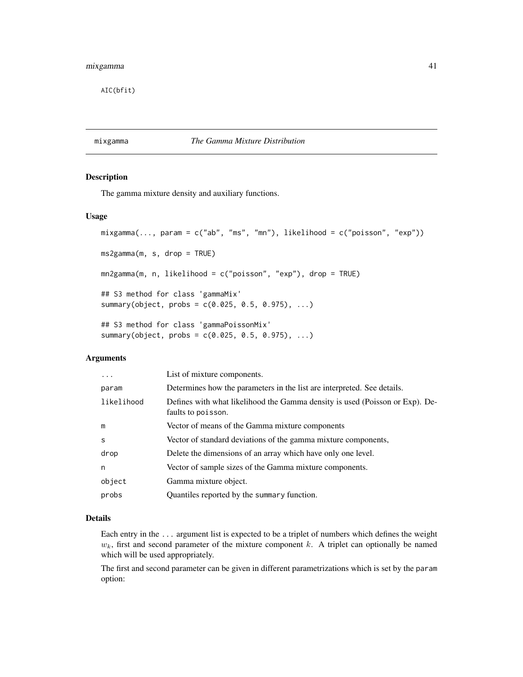<span id="page-40-0"></span>AIC(bfit)

#### <span id="page-40-1"></span>mixgamma *The Gamma Mixture Distribution*

#### Description

The gamma mixture density and auxiliary functions.

#### Usage

```
mixgamma(..., param = c("ab", "ms", "mn"), likelihood = c("poisson", "exp"))
ms2gamma(m, s, drop = TRUE)
mn2gamma(m, n, likelihood = c("poisson", "exp"), drop = TRUE)
## S3 method for class 'gammaMix'
summary(object, probs = c(0.025, 0.5, 0.975), ...)
## S3 method for class 'gammaPoissonMix'
summary(object, probs = c(0.025, 0.5, 0.975), ...)
```
#### Arguments

| .          | List of mixture components.                                                                        |
|------------|----------------------------------------------------------------------------------------------------|
| param      | Determines how the parameters in the list are interpreted. See details.                            |
| likelihood | Defines with what likelihood the Gamma density is used (Poisson or Exp). De-<br>faults to poisson. |
| m          | Vector of means of the Gamma mixture components                                                    |
| S          | Vector of standard deviations of the gamma mixture components,                                     |
| drop       | Delete the dimensions of an array which have only one level.                                       |
| n          | Vector of sample sizes of the Gamma mixture components.                                            |
| object     | Gamma mixture object.                                                                              |
| probs      | Quantiles reported by the summary function.                                                        |

#### Details

Each entry in the ... argument list is expected to be a triplet of numbers which defines the weight  $w<sub>k</sub>$ , first and second parameter of the mixture component k. A triplet can optionally be named which will be used appropriately.

The first and second parameter can be given in different parametrizations which is set by the param option: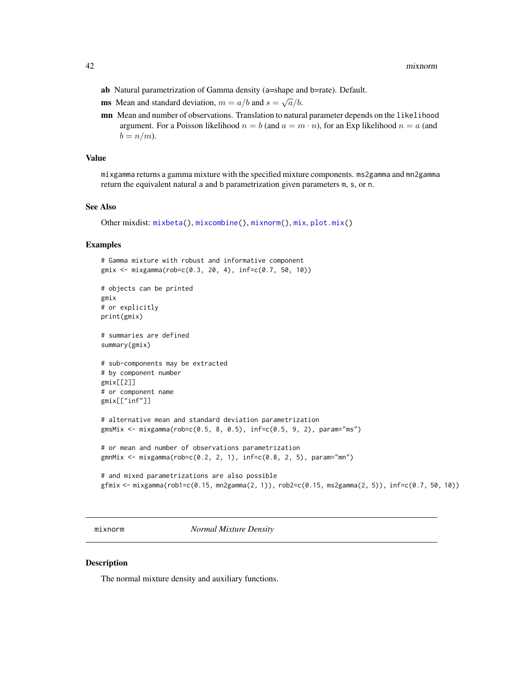- <span id="page-41-0"></span>ab Natural parametrization of Gamma density (a=shape and b=rate). Default.
- ms Mean and standard deviation,  $m = a/b$  and  $s = \sqrt{a/b}$ .
- mn Mean and number of observations. Translation to natural parameter depends on the likelihood argument. For a Poisson likelihood  $n = b$  (and  $a = m \cdot n$ ), for an Exp likelihood  $n = a$  (and  $b = n/m$ ).

#### Value

mixgamma returns a gamma mixture with the specified mixture components. ms2gamma and mn2gamma return the equivalent natural a and b parametrization given parameters m, s, or n.

#### See Also

Other mixdist: [mixbeta\(](#page-33-1)), [mixcombine\(](#page-34-1)), [mixnorm\(](#page-41-1)), [mix](#page-31-1), [plot.mix\(](#page-51-1))

#### Examples

```
# Gamma mixture with robust and informative component
gmix <- mixgamma(rob=c(0.3, 20, 4), inf=c(0.7, 50, 10))
# objects can be printed
gmix
# or explicitly
print(gmix)
# summaries are defined
summary(gmix)
# sub-components may be extracted
# by component number
gmix[[2]]
# or component name
gmix[["inf"]]
# alternative mean and standard deviation parametrization
gmsMix <- mixgamma(rob=c(0.5, 8, 0.5), inf=c(0.5, 9, 2), param="ms")
# or mean and number of observations parametrization
gmnMix <- mixgamma(rob=c(0.2, 2, 1), inf=c(0.8, 2, 5), param="mn")
# and mixed parametrizations are also possible
gfmix <- mixgamma(rob1=c(0.15, mn2gamma(2, 1)), rob2=c(0.15, ms2gamma(2, 5)), inf=c(0.7, 50, 10))
```
<span id="page-41-1"></span>mixnorm *Normal Mixture Density*

#### <span id="page-41-2"></span>Description

The normal mixture density and auxiliary functions.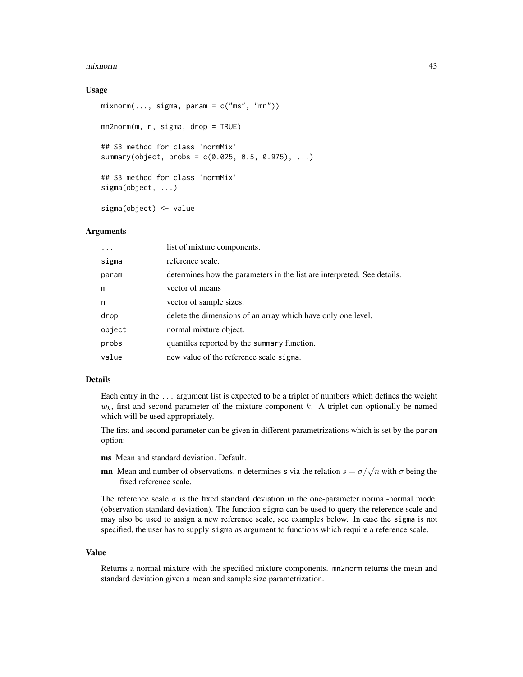#### mixnorm 43

#### Usage

```
mixnorm(..., sigma, param = c("ms", "mn"))mn2norm(m, n, sigma, drop = TRUE)
## S3 method for class 'normMix'
summary(object, probs = c(0.025, 0.5, 0.975), ...)
## S3 method for class 'normMix'
sigma(object, ...)
sigma(object) <- value
```
#### Arguments

| $\cdots$ | list of mixture components.                                             |
|----------|-------------------------------------------------------------------------|
| sigma    | reference scale.                                                        |
| param    | determines how the parameters in the list are interpreted. See details. |
| m        | vector of means                                                         |
| n        | vector of sample sizes.                                                 |
| drop     | delete the dimensions of an array which have only one level.            |
| object   | normal mixture object.                                                  |
| probs    | quantiles reported by the summary function.                             |
| value    | new value of the reference scale sigma.                                 |
|          |                                                                         |

#### Details

Each entry in the ... argument list is expected to be a triplet of numbers which defines the weight  $w_k$ , first and second parameter of the mixture component k. A triplet can optionally be named which will be used appropriately.

The first and second parameter can be given in different parametrizations which is set by the param option:

- ms Mean and standard deviation. Default.
- **mn** Mean and number of observations. n determines s via the relation  $s = \sigma/\sqrt{n}$  with  $\sigma$  being the fixed reference scale.

The reference scale  $\sigma$  is the fixed standard deviation in the one-parameter normal-normal model (observation standard deviation). The function sigma can be used to query the reference scale and may also be used to assign a new reference scale, see examples below. In case the sigma is not specified, the user has to supply sigma as argument to functions which require a reference scale.

#### Value

Returns a normal mixture with the specified mixture components. mn2norm returns the mean and standard deviation given a mean and sample size parametrization.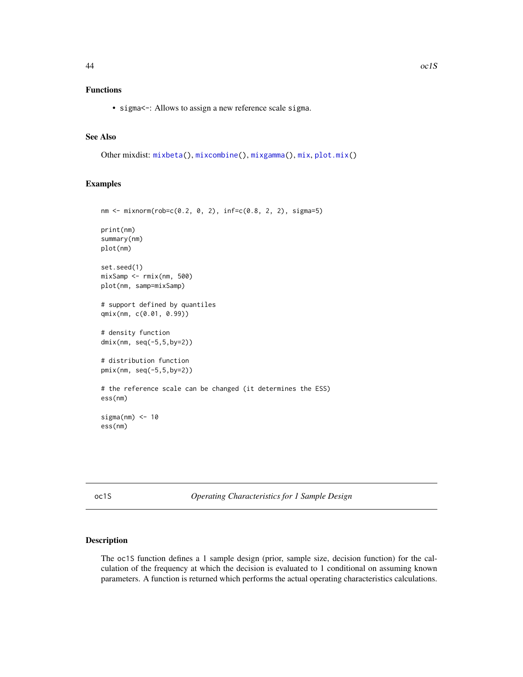#### <span id="page-43-0"></span>Functions

• sigma <-: Allows to assign a new reference scale sigma.

#### See Also

Other mixdist: [mixbeta\(](#page-33-1)), [mixcombine\(](#page-34-1)), [mixgamma\(](#page-40-1)), [mix](#page-31-1), [plot.mix\(](#page-51-1))

#### Examples

```
nm <- mixnorm(rob=c(0.2, 0, 2), inf=c(0.8, 2, 2), sigma=5)
print(nm)
summary(nm)
plot(nm)
set.seed(1)
mixSamp <- rmix(nm, 500)
plot(nm, samp=mixSamp)
# support defined by quantiles
qmix(nm, c(0.01, 0.99))
# density function
dmix(nm, seq(-5,5,by=2))
# distribution function
pmix(nm, seq(-5,5,by=2))
# the reference scale can be changed (it determines the ESS)
ess(nm)
sigma(nm) < -10ess(nm)
```
<span id="page-43-1"></span>oc1S *Operating Characteristics for 1 Sample Design*

#### Description

The oc1S function defines a 1 sample design (prior, sample size, decision function) for the calculation of the frequency at which the decision is evaluated to 1 conditional on assuming known parameters. A function is returned which performs the actual operating characteristics calculations.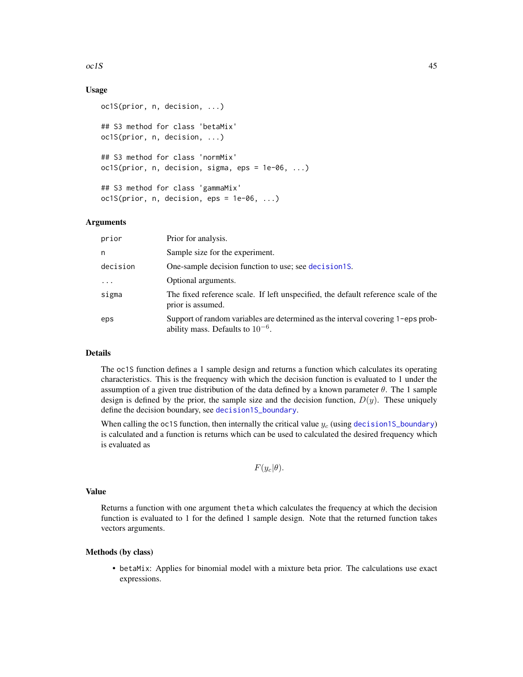#### <span id="page-44-0"></span> $oc1S$  45

#### Usage

```
oc1S(prior, n, decision, ...)
## S3 method for class 'betaMix'
oc1S(prior, n, decision, ...)
## S3 method for class 'normMix'
oc1S(prior, n, decision, sigma, eps = 1e-06, ...)
## S3 method for class 'gammaMix'
oc1S(prior, n, decision,eps = 1e-06, ...)
```
#### Arguments

| prior    | Prior for analysis.                                                                                                      |
|----------|--------------------------------------------------------------------------------------------------------------------------|
| n        | Sample size for the experiment.                                                                                          |
| decision | One-sample decision function to use; see decision1S.                                                                     |
| $\cdots$ | Optional arguments.                                                                                                      |
| sigma    | The fixed reference scale. If left unspecified, the default reference scale of the<br>prior is assumed.                  |
| eps      | Support of random variables are determined as the interval covering 1-eps prob-<br>ability mass. Defaults to $10^{-6}$ . |

#### Details

The oc1S function defines a 1 sample design and returns a function which calculates its operating characteristics. This is the frequency with which the decision function is evaluated to 1 under the assumption of a given true distribution of the data defined by a known parameter  $\theta$ . The 1 sample design is defined by the prior, the sample size and the decision function,  $D(y)$ . These uniquely define the decision boundary, see [decision1S\\_boundary](#page-10-1).

When calling the oc1S function, then internally the critical value  $y_c$  (using [decision1S\\_boundary](#page-10-1)) is calculated and a function is returns which can be used to calculated the desired frequency which is evaluated as

```
F(y_c|\theta).
```
#### Value

Returns a function with one argument theta which calculates the frequency at which the decision function is evaluated to 1 for the defined 1 sample design. Note that the returned function takes vectors arguments.

#### Methods (by class)

• betaMix: Applies for binomial model with a mixture beta prior. The calculations use exact expressions.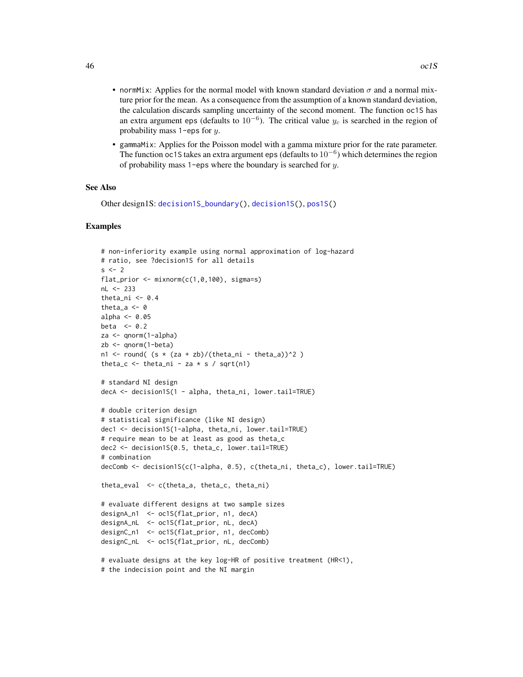- <span id="page-45-0"></span>• normMix: Applies for the normal model with known standard deviation  $\sigma$  and a normal mixture prior for the mean. As a consequence from the assumption of a known standard deviation, the calculation discards sampling uncertainty of the second moment. The function oc1S has an extra argument eps (defaults to  $10^{-6}$ ). The critical value  $y_c$  is searched in the region of probability mass 1-eps for y.
- gammaMix: Applies for the Poisson model with a gamma mixture prior for the rate parameter. The function oc1S takes an extra argument eps (defaults to  $10^{-6}$ ) which determines the region of probability mass 1-eps where the boundary is searched for  $y$ .

#### See Also

Other design1S: [decision1S\\_boundary\(](#page-10-1)), [decision1S\(](#page-7-1)), [pos1S\(](#page-53-1))

#### Examples

```
# non-inferiority example using normal approximation of log-hazard
# ratio, see ?decision1S for all details
s \leq -2flat_prior \leq mixnorm(c(1, 0, 100), sigma=s)
nL <- 233
theta_ni \leq -0.4theta_a <- 0
alpha <-0.05beta <-0.2za <- qnorm(1-alpha)
zb <- qnorm(1-beta)
n1 <- round( (s * (za + zb)/(theta_ani - theta_a))^2 )
theta_c \le theta_ni - za \ast s / sqrt(n1)
# standard NI design
decA <- decision1S(1 - alpha, theta_ni, lower.tail=TRUE)
# double criterion design
# statistical significance (like NI design)
dec1 <- decision1S(1-alpha, theta_ni, lower.tail=TRUE)
# require mean to be at least as good as theta_c
dec2 <- decision1S(0.5, theta_c, lower.tail=TRUE)
# combination
decComb <- decision1S(c(1-alpha, 0.5), c(theta_ni, theta_c), lower.tail=TRUE)
theta_eval <- c(theta_a, theta_c, theta_ni)
# evaluate different designs at two sample sizes
designA_n1 <- oc1S(flat_prior, n1, decA)
designA_nL <- oc1S(flat_prior, nL, decA)
designC_n1 <- oc1S(flat_prior, n1, decComb)
designC_nL <- oc1S(flat_prior, nL, decComb)
# evaluate designs at the key log-HR of positive treatment (HR<1),
# the indecision point and the NI margin
```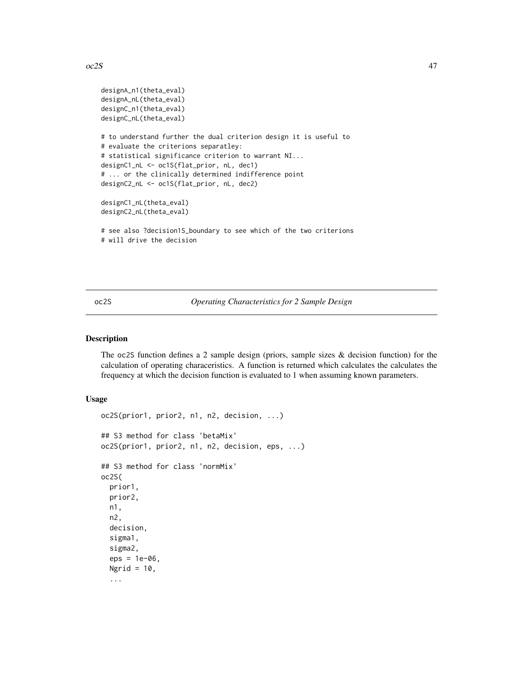#### <span id="page-46-0"></span> $\alpha$  and  $\alpha$  and  $\alpha$  and  $\alpha$  and  $\alpha$  and  $\alpha$  and  $\alpha$  and  $\alpha$  and  $\alpha$  and  $\alpha$  and  $\alpha$  and  $\alpha$  and  $\alpha$  and  $\alpha$  and  $\alpha$  and  $\alpha$  and  $\alpha$  and  $\alpha$  and  $\alpha$  and  $\alpha$  and  $\alpha$  and  $\alpha$  and  $\alpha$  and  $\alpha$  and  $\alpha$

```
designA_n1(theta_eval)
designA_nL(theta_eval)
designC_n1(theta_eval)
designC_nL(theta_eval)
# to understand further the dual criterion design it is useful to
# evaluate the criterions separatley:
# statistical significance criterion to warrant NI...
designC1_nL <- oc1S(flat_prior, nL, dec1)
# ... or the clinically determined indifference point
designC2_nL <- oc1S(flat_prior, nL, dec2)
designC1_nL(theta_eval)
designC2_nL(theta_eval)
# see also ?decision1S_boundary to see which of the two criterions
# will drive the decision
```
#### <span id="page-46-1"></span>oc2S *Operating Characteristics for 2 Sample Design*

#### Description

The oc2S function defines a 2 sample design (priors, sample sizes  $\&$  decision function) for the calculation of operating characeristics. A function is returned which calculates the calculates the frequency at which the decision function is evaluated to 1 when assuming known parameters.

#### Usage

```
oc2S(prior1, prior2, n1, n2, decision, ...)
## S3 method for class 'betaMix'
oc2S(prior1, prior2, n1, n2, decision, eps, ...)
## S3 method for class 'normMix'
oc2S(
 prior1,
 prior2,
  n1,
  n2,
  decision,
  sigma1,
  sigma2,
  eps = 1e-06,
 Ngrid = 10,
  ...
```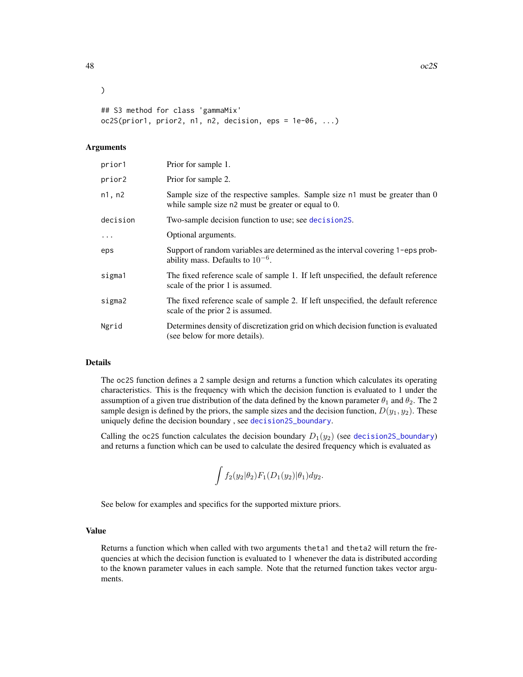```
## S3 method for class 'gammaMix'
oc2S(prior1, prior2, n1, n2, decision, eps = 1e-06, ...)
```
#### Arguments

)

| prior1   | Prior for sample 1.                                                                                                                 |
|----------|-------------------------------------------------------------------------------------------------------------------------------------|
| prior2   | Prior for sample 2.                                                                                                                 |
| n1, n2   | Sample size of the respective samples. Sample size n1 must be greater than 0<br>while sample size n2 must be greater or equal to 0. |
| decision | Two-sample decision function to use; see decision2S.                                                                                |
| $\cdots$ | Optional arguments.                                                                                                                 |
| eps      | Support of random variables are determined as the interval covering 1-eps prob-<br>ability mass. Defaults to $10^{-6}$ .            |
| sigma1   | The fixed reference scale of sample 1. If left unspecified, the default reference<br>scale of the prior 1 is assumed.               |
| sigma2   | The fixed reference scale of sample 2. If left unspecified, the default reference<br>scale of the prior 2 is assumed.               |
| Ngrid    | Determines density of discretization grid on which decision function is evaluated<br>(see below for more details).                  |

#### Details

The oc2S function defines a 2 sample design and returns a function which calculates its operating characteristics. This is the frequency with which the decision function is evaluated to 1 under the assumption of a given true distribution of the data defined by the known parameter  $\theta_1$  and  $\theta_2$ . The 2 sample design is defined by the priors, the sample sizes and the decision function,  $D(y_1, y_2)$ . These uniquely define the decision boundary , see [decision2S\\_boundary](#page-14-1).

Calling the oc2S function calculates the decision boundary  $D_1(y_2)$  (see [decision2S\\_boundary](#page-14-1)) and returns a function which can be used to calculate the desired frequency which is evaluated as

$$
\int f_2(y_2|\theta_2) F_1(D_1(y_2)|\theta_1) dy_2.
$$

See below for examples and specifics for the supported mixture priors.

#### Value

Returns a function which when called with two arguments theta1 and theta2 will return the frequencies at which the decision function is evaluated to 1 whenever the data is distributed according to the known parameter values in each sample. Note that the returned function takes vector arguments.

<span id="page-47-0"></span>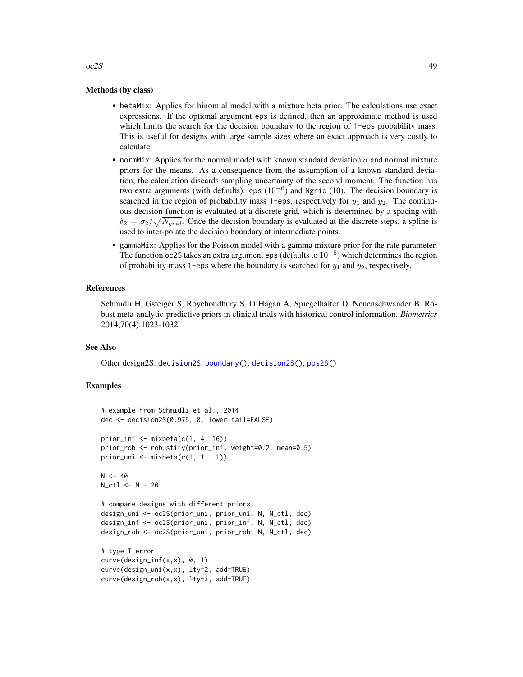#### Methods (by class)

- betaMix: Applies for binomial model with a mixture beta prior. The calculations use exact expressions. If the optional argument eps is defined, then an approximate method is used which limits the search for the decision boundary to the region of 1-eps probability mass. This is useful for designs with large sample sizes where an exact approach is very costly to calculate.
- normMix: Applies for the normal model with known standard deviation  $\sigma$  and normal mixture priors for the means. As a consequence from the assumption of a known standard deviation, the calculation discards sampling uncertainty of the second moment. The function has two extra arguments (with defaults): eps  $(10^{-6})$  and Ngrid (10). The decision boundary is searched in the region of probability mass 1-eps, respectively for  $y_1$  and  $y_2$ . The continuous decision function is evaluated at a discrete grid, which is determined by a spacing with  $\delta_2 = \sigma_2 / \sqrt{N_{grid}}$ . Once the decision boundary is evaluated at the discrete steps, a spline is used to inter-polate the decision boundary at intermediate points.
- gammaMix: Applies for the Poisson model with a gamma mixture prior for the rate parameter. The function oc2S takes an extra argument eps (defaults to  $10^{-6}$ ) which determines the region of probability mass 1-eps where the boundary is searched for  $y_1$  and  $y_2$ , respectively.

#### References

Schmidli H, Gsteiger S, Roychoudhury S, O'Hagan A, Spiegelhalter D, Neuenschwander B. Robust meta-analytic-predictive priors in clinical trials with historical control information. *Biometrics* 2014;70(4):1023-1032.

#### See Also

Other design2S: [decision2S\\_boundary\(](#page-14-1)), [decision2S\(](#page-12-1)), [pos2S\(](#page-55-1))

#### Examples

```
# example from Schmidli et al., 2014
dec <- decision2S(0.975, 0, lower.tail=FALSE)
prior_inf \leq mixbeta(c(1, 4, 16))
prior_rob <- robustify(prior_inf, weight=0.2, mean=0.5)
prior_uni <- mixbeta(c(1, 1, 1))
N < -40N_ctl <- N - 20
# compare designs with different priors
design_uni <- oc2S(prior_uni, prior_uni, N, N_ctl, dec)
design_inf <- oc2S(prior_uni, prior_inf, N, N_ctl, dec)
design_rob <- oc2S(prior_uni, prior_rob, N, N_ctl, dec)
# type I error
curve(design_inf(x,x), 0, 1)
curve(design_uni(x,x), lty=2, add=TRUE)
curve(design_rob(x,x), lty=3, add=TRUE)
```
<span id="page-48-0"></span> $\alpha$  and  $\alpha$  49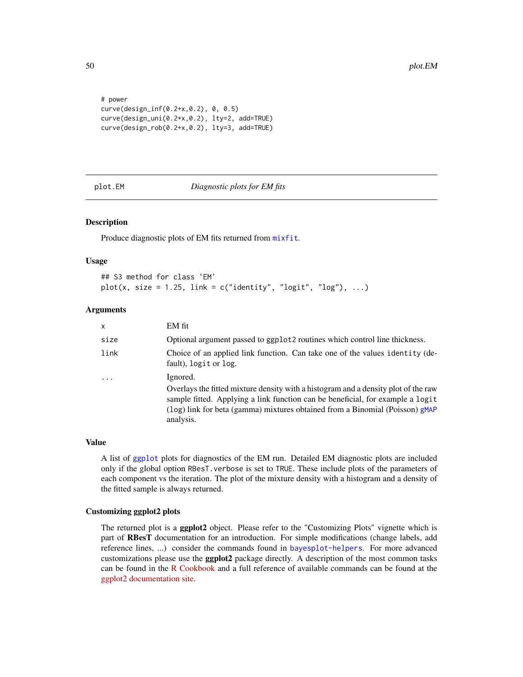```
# power
curve(design_inf(0.2+x,0.2), 0, 0.5)
curve(design_uni(0.2+x,0.2), lty=2, add=TRUE)
curve(design_rob(0.2+x,0.2), lty=3, add=TRUE)
```
#### <span id="page-49-1"></span>plot.EM *Diagnostic plots for EM fits*

#### **Description**

Produce diagnostic plots of EM fits returned from [mixfit](#page-37-1).

#### Usage

```
## S3 method for class 'EM'
plot(x, size = 1.25, link = c("identity", "logit", "log"), ...)
```
#### Arguments

| $\mathsf{x}$ | EM fit                                                                                                                                                                                                                                                                        |
|--------------|-------------------------------------------------------------------------------------------------------------------------------------------------------------------------------------------------------------------------------------------------------------------------------|
| size         | Optional argument passed to ggplot2 routines which control line thickness.                                                                                                                                                                                                    |
| link         | Choice of an applied link function. Can take one of the values identity (de-<br>fault), logit or log.                                                                                                                                                                         |
| $\ddotsc$    | Ignored.<br>Overlays the fitted mixture density with a histogram and a density plot of the raw<br>sample fitted. Applying a link function can be beneficial, for example a logit<br>(log) link for beta (gamma) mixtures obtained from a Binomial (Poisson) gMAP<br>analysis. |

#### Value

A list of [ggplot](#page-0-0) plots for diagnostics of the EM run. Detailed EM diagnostic plots are included only if the global option RBesT.verbose is set to TRUE. These include plots of the parameters of each component vs the iteration. The plot of the mixture density with a histogram and a density of the fitted sample is always returned.

#### Customizing ggplot2 plots

The returned plot is a **ggplot2** object. Please refer to the "Customizing Plots" vignette which is part of RBesT documentation for an introduction. For simple modifications (change labels, add reference lines, ...) consider the commands found in [bayesplot-helpers](#page-0-0). For more advanced customizations please use the ggplot2 package directly. A description of the most common tasks can be found in the [R Cookbook](http://www.cookbook-r.com/Graphs/) and a full reference of available commands can be found at the [ggplot2 documentation site.](https://ggplot2.tidyverse.org/reference/)

<span id="page-49-0"></span>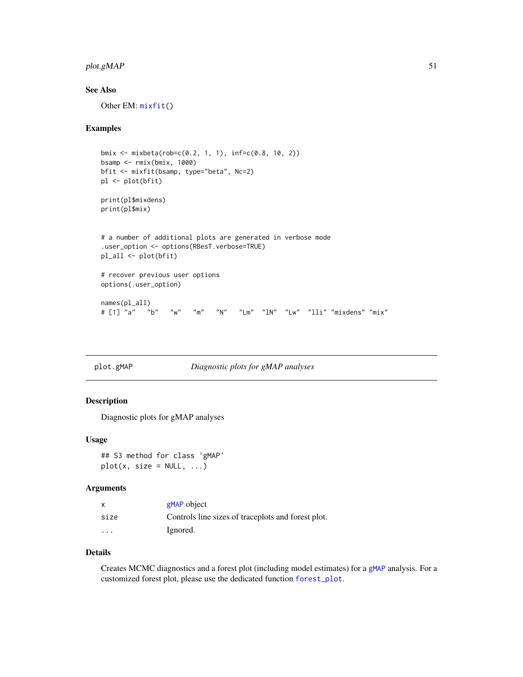#### <span id="page-50-0"></span>plot.gMAP 51

#### See Also

Other EM: [mixfit\(](#page-37-1))

#### Examples

```
bmix <- mixbeta(rob=c(0.2, 1, 1), inf=c(0.8, 10, 2))
bsamp <- rmix(bmix, 1000)
bfit <- mixfit(bsamp, type="beta", Nc=2)
pl <- plot(bfit)
print(pl$mixdens)
print(pl$mix)
# a number of additional plots are generated in verbose mode
.user_option <- options(RBesT.verbose=TRUE)
pl_all <- plot(bfit)
# recover previous user options
options(.user_option)
names(pl_all)
# [1] "a" "b" "w" "m" "N" "Lm" "lN" "Lw" "lli" "mixdens" "mix"
```
<span id="page-50-1"></span>plot.gMAP *Diagnostic plots for gMAP analyses*

#### Description

Diagnostic plots for gMAP analyses

#### Usage

## S3 method for class 'gMAP'  $plot(x, size = NULL, ...)$ 

#### Arguments

|                         | gMAP object                                        |
|-------------------------|----------------------------------------------------|
| size                    | Controls line sizes of traceplots and forest plot. |
| $\cdot$ $\cdot$ $\cdot$ | Ignored.                                           |

#### Details

Creates MCMC diagnostics and a forest plot (including model estimates) for a [gMAP](#page-21-1) analysis. For a customized forest plot, please use the dedicated function [forest\\_plot](#page-20-1).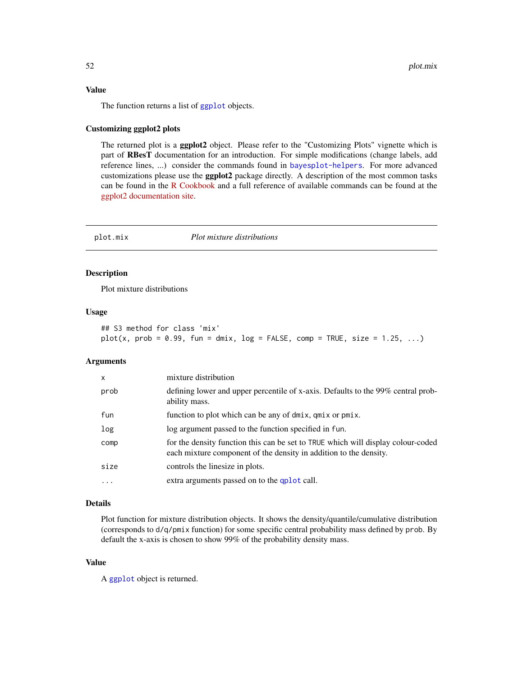#### <span id="page-51-0"></span>Value

The function returns a list of [ggplot](#page-0-0) objects.

#### Customizing ggplot2 plots

The returned plot is a ggplot2 object. Please refer to the "Customizing Plots" vignette which is part of RBesT documentation for an introduction. For simple modifications (change labels, add reference lines, ...) consider the commands found in [bayesplot-helpers](#page-0-0). For more advanced customizations please use the ggplot2 package directly. A description of the most common tasks can be found in the [R Cookbook](http://www.cookbook-r.com/Graphs/) and a full reference of available commands can be found at the [ggplot2 documentation site.](https://ggplot2.tidyverse.org/reference/)

<span id="page-51-1"></span>

#### plot.mix *Plot mixture distributions*

#### Description

Plot mixture distributions

#### Usage

```
## S3 method for class 'mix'
plot(x, prob = 0.99, fun = dmix, log = FALSE, comp = TRUE, size = 1.25, ...)
```
#### Arguments

| X    | mixture distribution                                                                                                                                  |
|------|-------------------------------------------------------------------------------------------------------------------------------------------------------|
| prob | defining lower and upper percentile of x-axis. Defaults to the 99% central prob-<br>ability mass.                                                     |
| fun  | function to plot which can be any of dmix, qmix or pmix.                                                                                              |
| log  | log argument passed to the function specified in fun.                                                                                                 |
| comp | for the density function this can be set to TRUE which will display colour-coded<br>each mixture component of the density in addition to the density. |
| size | controls the linesize in plots.                                                                                                                       |
| .    | extra arguments passed on to the qplot call.                                                                                                          |

#### Details

Plot function for mixture distribution objects. It shows the density/quantile/cumulative distribution (corresponds to d/q/pmix function) for some specific central probability mass defined by prob. By default the x-axis is chosen to show 99% of the probability density mass.

#### Value

A [ggplot](#page-0-0) object is returned.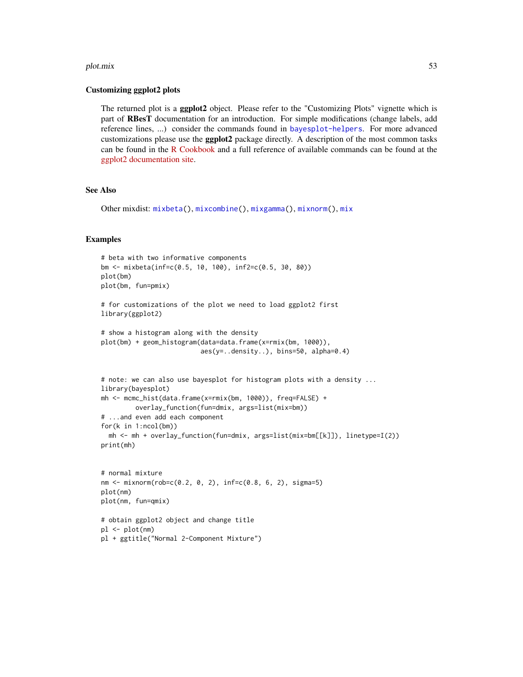#### <span id="page-52-0"></span>plot.mix 53

#### Customizing ggplot2 plots

The returned plot is a ggplot2 object. Please refer to the "Customizing Plots" vignette which is part of RBesT documentation for an introduction. For simple modifications (change labels, add reference lines, ...) consider the commands found in [bayesplot-helpers](#page-0-0). For more advanced customizations please use the **ggplot2** package directly. A description of the most common tasks can be found in the [R Cookbook](http://www.cookbook-r.com/Graphs/) and a full reference of available commands can be found at the [ggplot2 documentation site.](https://ggplot2.tidyverse.org/reference/)

#### See Also

```
Other mixdist: mixbeta(), mixcombine(), mixgamma(), mixnorm(), mix
```
#### Examples

```
# beta with two informative components
bm <- mixbeta(inf=c(0.5, 10, 100), inf2=c(0.5, 30, 80))
plot(bm)
plot(bm, fun=pmix)
# for customizations of the plot we need to load ggplot2 first
library(ggplot2)
# show a histogram along with the density
plot(bm) + geom_histogram(data=data.frame(x=rmix(bm, 1000)),
                          aes(y=..density..), bins=50, alpha=0.4)
# note: we can also use bayesplot for histogram plots with a density ...
library(bayesplot)
mh <- mcmc_hist(data.frame(x=rmix(bm, 1000)), freq=FALSE) +
         overlay_function(fun=dmix, args=list(mix=bm))
# ...and even add each component
for(k in 1:ncol(bm))
  mh <- mh + overlay_function(fun=dmix, args=list(mix=bm[[k]]), linetype=I(2))
print(mh)
# normal mixture
nm <- mixnorm(rob=c(0.2, 0, 2), inf=c(0.8, 6, 2), sigma=5)
plot(nm)
plot(nm, fun=qmix)
# obtain ggplot2 object and change title
pl <- plot(nm)
pl + ggtitle("Normal 2-Component Mixture")
```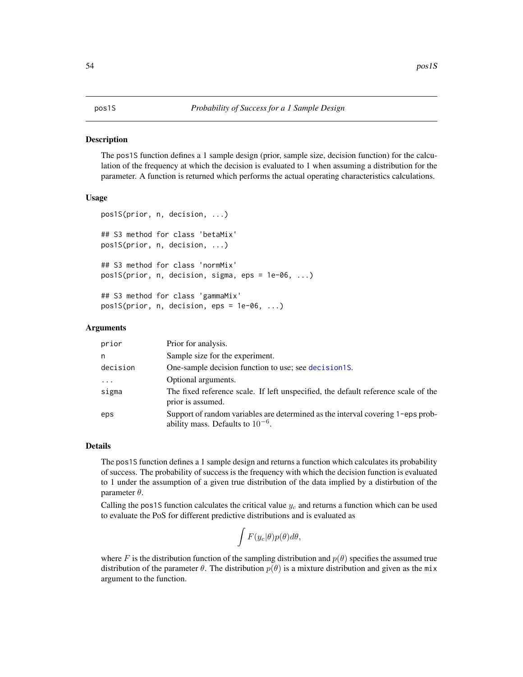#### <span id="page-53-1"></span><span id="page-53-0"></span>**Description**

The pos1S function defines a 1 sample design (prior, sample size, decision function) for the calculation of the frequency at which the decision is evaluated to 1 when assuming a distribution for the parameter. A function is returned which performs the actual operating characteristics calculations.

#### Usage

```
pos1S(prior, n, decision, ...)
## S3 method for class 'betaMix'
pos1S(prior, n, decision, ...)
## S3 method for class 'normMix'
pos1S(prior, n, decision, sigma, eps = 1e-06, ...)
## S3 method for class 'gammaMix'
pos1S(prior, n, decision, eps = 1e-06, ...)
```
#### Arguments

| prior     | Prior for analysis.                                                                                                      |
|-----------|--------------------------------------------------------------------------------------------------------------------------|
| n         | Sample size for the experiment.                                                                                          |
| decision  | One-sample decision function to use; see decision 15.                                                                    |
| $\ddotsc$ | Optional arguments.                                                                                                      |
| sigma     | The fixed reference scale. If left unspecified, the default reference scale of the<br>prior is assumed.                  |
| eps       | Support of random variables are determined as the interval covering 1-eps prob-<br>ability mass. Defaults to $10^{-6}$ . |

#### Details

The pos1S function defines a 1 sample design and returns a function which calculates its probability of success. The probability of success is the frequency with which the decision function is evaluated to 1 under the assumption of a given true distribution of the data implied by a distirbution of the parameter θ.

Calling the pos1S function calculates the critical value  $y_c$  and returns a function which can be used to evaluate the PoS for different predictive distributions and is evaluated as

$$
\int F(y_c|\theta)p(\theta)d\theta,
$$

where F is the distribution function of the sampling distribution and  $p(\theta)$  specifies the assumed true distribution of the parameter  $\theta$ . The distribution  $p(\theta)$  is a mixture distribution and given as the mix argument to the function.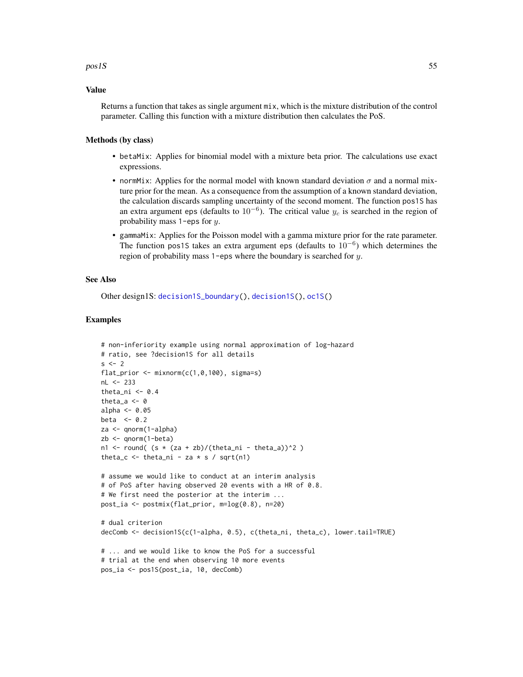#### <span id="page-54-0"></span> $pos1S$  55

#### Value

Returns a function that takes as single argument mix, which is the mixture distribution of the control parameter. Calling this function with a mixture distribution then calculates the PoS.

#### Methods (by class)

- betaMix: Applies for binomial model with a mixture beta prior. The calculations use exact expressions.
- normMix: Applies for the normal model with known standard deviation  $\sigma$  and a normal mixture prior for the mean. As a consequence from the assumption of a known standard deviation, the calculation discards sampling uncertainty of the second moment. The function pos1S has an extra argument eps (defaults to  $10^{-6}$ ). The critical value  $y_c$  is searched in the region of probability mass 1-eps for y.
- gammaMix: Applies for the Poisson model with a gamma mixture prior for the rate parameter. The function pos1S takes an extra argument eps (defaults to  $10^{-6}$ ) which determines the region of probability mass 1-eps where the boundary is searched for y.

#### See Also

Other design1S: [decision1S\\_boundary\(](#page-10-1)), [decision1S\(](#page-7-1)), [oc1S\(](#page-43-1))

#### Examples

```
# non-inferiority example using normal approximation of log-hazard
# ratio, see ?decision1S for all details
s \le -2flat_prior <- mixnorm(c(1,0,100), sigma=s)
nL <- 233
theta_ni <-0.4theta_a \leq -\emptysetalpha <-0.05beta <-0.2za <- qnorm(1-alpha)
zb <- qnorm(1-beta)
n1 <- round( (s * (za + zb)/(theta_ani - theta_a))^2 )
theta_c \le theta_ni - za \star s / sqrt(n1)
# assume we would like to conduct at an interim analysis
# of PoS after having observed 20 events with a HR of 0.8.
# We first need the posterior at the interim ...
post_ia <- postmix(flat_prior, m=log(0.8), n=20)
# dual criterion
decComb <- decision1S(c(1-alpha, 0.5), c(theta_ni, theta_c), lower.tail=TRUE)
# ... and we would like to know the PoS for a successful
# trial at the end when observing 10 more events
pos_ia <- pos1S(post_ia, 10, decComb)
```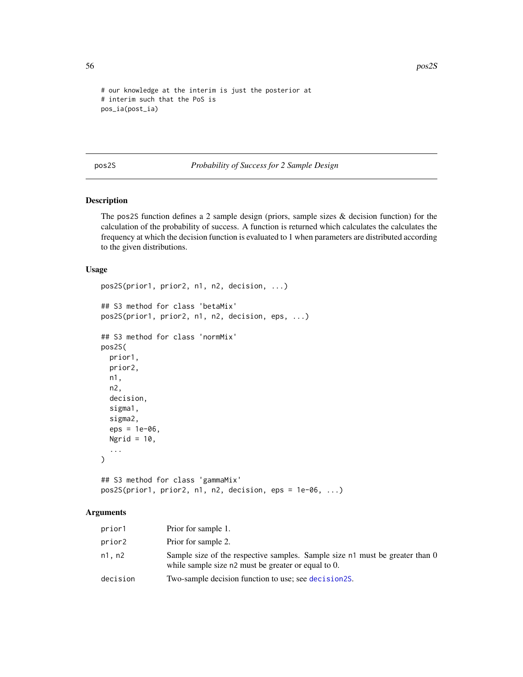```
# our knowledge at the interim is just the posterior at
# interim such that the PoS is
pos_ia(post_ia)
```
<span id="page-55-1"></span>pos2S *Probability of Success for 2 Sample Design*

#### Description

The pos2S function defines a 2 sample design (priors, sample sizes & decision function) for the calculation of the probability of success. A function is returned which calculates the calculates the frequency at which the decision function is evaluated to 1 when parameters are distributed according to the given distributions.

#### Usage

```
pos2S(prior1, prior2, n1, n2, decision, ...)
## S3 method for class 'betaMix'
pos2S(prior1, prior2, n1, n2, decision, eps, ...)
## S3 method for class 'normMix'
pos2S(
 prior1,
 prior2,
 n1,
 n2,
 decision,
  sigma1,
  sigma2,
  eps = 1e-06,
 Ngrid = 10,
  ...
)
## S3 method for class 'gammaMix'
```
# pos2S(prior1, prior2, n1, n2, decision, eps = 1e-06, ...)

#### Arguments

| prior1   | Prior for sample 1.                                                                                                                 |
|----------|-------------------------------------------------------------------------------------------------------------------------------------|
| prior2   | Prior for sample 2.                                                                                                                 |
| n1, n2   | Sample size of the respective samples. Sample size n1 must be greater than 0<br>while sample size n2 must be greater or equal to 0. |
| decision | Two-sample decision function to use; see decision2S.                                                                                |

<span id="page-55-0"></span>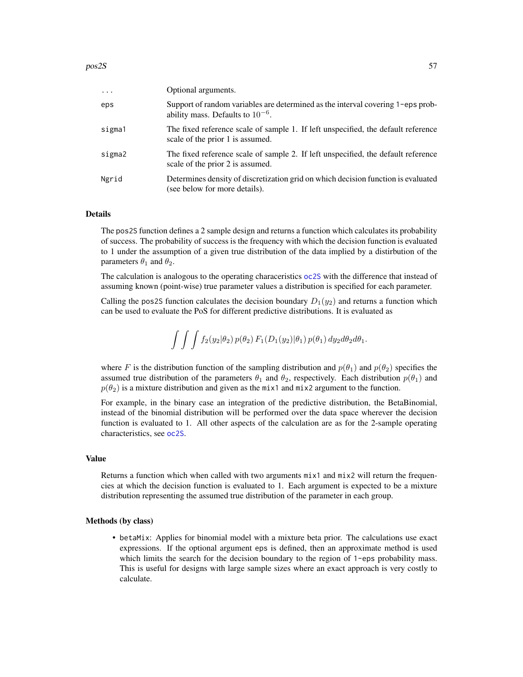<span id="page-56-0"></span>

| $\cdot$ | Optional arguments.                                                                                                      |
|---------|--------------------------------------------------------------------------------------------------------------------------|
| eps     | Support of random variables are determined as the interval covering 1-eps prob-<br>ability mass. Defaults to $10^{-6}$ . |
| sigma1  | The fixed reference scale of sample 1. If left unspecified, the default reference<br>scale of the prior 1 is assumed.    |
| sigma2  | The fixed reference scale of sample 2. If left unspecified, the default reference<br>scale of the prior 2 is assumed.    |
| Ngrid   | Determines density of discretization grid on which decision function is evaluated<br>(see below for more details).       |

#### Details

The pos2S function defines a 2 sample design and returns a function which calculates its probability of success. The probability of success is the frequency with which the decision function is evaluated to 1 under the assumption of a given true distribution of the data implied by a distirbution of the parameters  $\theta_1$  and  $\theta_2$ .

The calculation is analogous to the operating characeristics [oc2S](#page-46-1) with the difference that instead of assuming known (point-wise) true parameter values a distribution is specified for each parameter.

Calling the pos2S function calculates the decision boundary  $D_1(y_2)$  and returns a function which can be used to evaluate the PoS for different predictive distributions. It is evaluated as

$$
\int \int \int f_2(y_2|\theta_2) p(\theta_2) F_1(D_1(y_2)|\theta_1) p(\theta_1) dy_2 d\theta_2 d\theta_1.
$$

where F is the distribution function of the sampling distribution and  $p(\theta_1)$  and  $p(\theta_2)$  specifies the assumed true distribution of the parameters  $\theta_1$  and  $\theta_2$ , respectively. Each distribution  $p(\theta_1)$  and  $p(\theta_2)$  is a mixture distribution and given as the mix1 and mix2 argument to the function.

For example, in the binary case an integration of the predictive distribution, the BetaBinomial, instead of the binomial distribution will be performed over the data space wherever the decision function is evaluated to 1. All other aspects of the calculation are as for the 2-sample operating characteristics, see [oc2S](#page-46-1).

#### Value

Returns a function which when called with two arguments mix1 and mix2 will return the frequencies at which the decision function is evaluated to 1. Each argument is expected to be a mixture distribution representing the assumed true distribution of the parameter in each group.

#### Methods (by class)

• betaMix: Applies for binomial model with a mixture beta prior. The calculations use exact expressions. If the optional argument eps is defined, then an approximate method is used which limits the search for the decision boundary to the region of 1-eps probability mass. This is useful for designs with large sample sizes where an exact approach is very costly to calculate.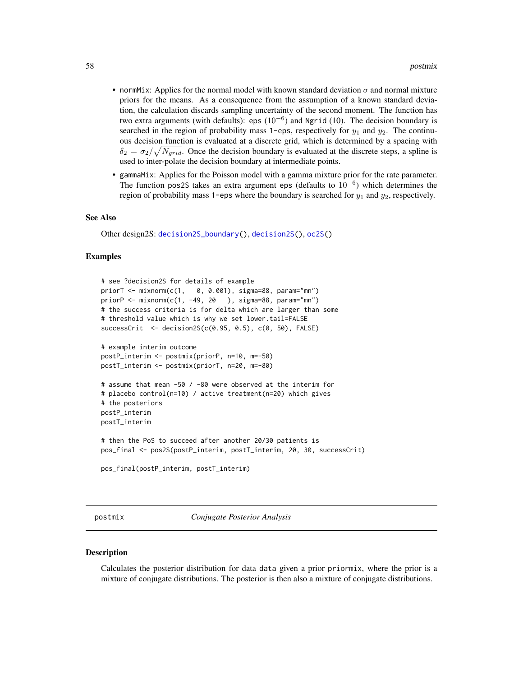- <span id="page-57-0"></span>• normMix: Applies for the normal model with known standard deviation  $\sigma$  and normal mixture priors for the means. As a consequence from the assumption of a known standard deviation, the calculation discards sampling uncertainty of the second moment. The function has two extra arguments (with defaults): eps  $(10^{-6})$  and Ngrid (10). The decision boundary is searched in the region of probability mass 1-eps, respectively for  $y_1$  and  $y_2$ . The continuous decision function is evaluated at a discrete grid, which is determined by a spacing with  $\delta_2 = \sigma_2 / \sqrt{N_{grid}}$ . Once the decision boundary is evaluated at the discrete steps, a spline is used to inter-polate the decision boundary at intermediate points.
- gammaMix: Applies for the Poisson model with a gamma mixture prior for the rate parameter. The function pos2S takes an extra argument eps (defaults to  $10^{-6}$ ) which determines the region of probability mass 1-eps where the boundary is searched for  $y_1$  and  $y_2$ , respectively.

#### See Also

Other design2S: [decision2S\\_boundary\(](#page-14-1)), [decision2S\(](#page-12-1)), [oc2S\(](#page-46-1))

#### Examples

```
# see ?decision2S for details of example
priorT <- mixnorm(c(1, 0, 0.001), sigma=88, param="mn")
priorP \leq mixnorm(c(1, -49, 20), sigma=88, param="mn")
# the success criteria is for delta which are larger than some
# threshold value which is why we set lower.tail=FALSE
successCrit <- decision2S(c(0.95, 0.5), c(0, 50), FALSE)
# example interim outcome
postP_interim <- postmix(priorP, n=10, m=-50)
postT_interim <- postmix(priorT, n=20, m=-80)
# assume that mean -50 / -80 were observed at the interim for
# placebo control(n=10) / active treatment(n=20) which gives
# the posteriors
postP_interim
postT_interim
# then the PoS to succeed after another 20/30 patients is
pos_final <- pos2S(postP_interim, postT_interim, 20, 30, successCrit)
pos_final(postP_interim, postT_interim)
```
postmix *Conjugate Posterior Analysis*

#### **Description**

Calculates the posterior distribution for data data given a prior priormix, where the prior is a mixture of conjugate distributions. The posterior is then also a mixture of conjugate distributions.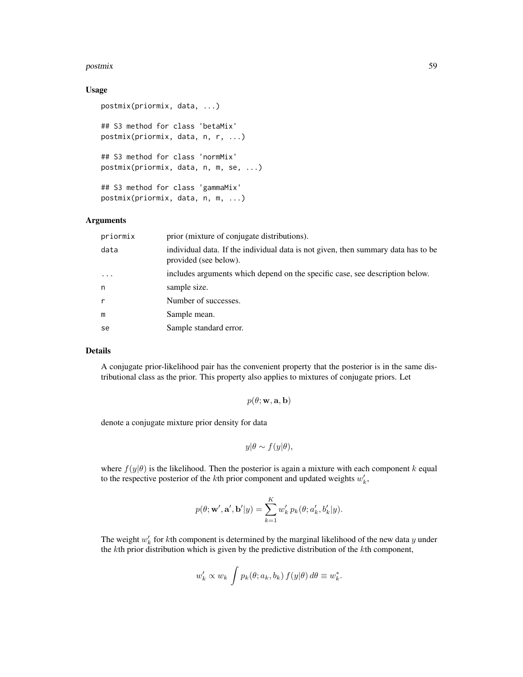#### postmix 59

#### Usage

```
postmix(priormix, data, ...)
## S3 method for class 'betaMix'
postmix(priormix, data, n, r, ...)
## S3 method for class 'normMix'
postmix(priormix, data, n, m, se, ...)
## S3 method for class 'gammaMix'
postmix(priormix, data, n, m, ...)
```
#### Arguments

| priormix   | prior (mixture of conjugate distributions).                                                                |
|------------|------------------------------------------------------------------------------------------------------------|
| data       | individual data. If the individual data is not given, then summary data has to be<br>provided (see below). |
| $\ddots$ . | includes arguments which depend on the specific case, see description below.                               |
| n          | sample size.                                                                                               |
|            | Number of successes.                                                                                       |
| m          | Sample mean.                                                                                               |
| se         | Sample standard error.                                                                                     |

#### Details

A conjugate prior-likelihood pair has the convenient property that the posterior is in the same distributional class as the prior. This property also applies to mixtures of conjugate priors. Let

$$
p(\theta; \mathbf{w}, \mathbf{a}, \mathbf{b})
$$

denote a conjugate mixture prior density for data

$$
y|\theta \sim f(y|\theta),
$$

where  $f(y|\theta)$  is the likelihood. Then the posterior is again a mixture with each component k equal to the respective posterior of the *k*th prior component and updated weights  $w'_k$ ,

$$
p(\theta; \mathbf{w}', \mathbf{a}', \mathbf{b}'|y) = \sum_{k=1}^{K} w'_k p_k(\theta; a'_k, b'_k|y).
$$

The weight  $w'_{k}$  for kth component is determined by the marginal likelihood of the new data y under the kth prior distribution which is given by the predictive distribution of the kth component,

$$
w'_{k} \propto w_{k} \int p_{k}(\theta; a_{k}, b_{k}) f(y|\theta) d\theta \equiv w_{k}^{*}.
$$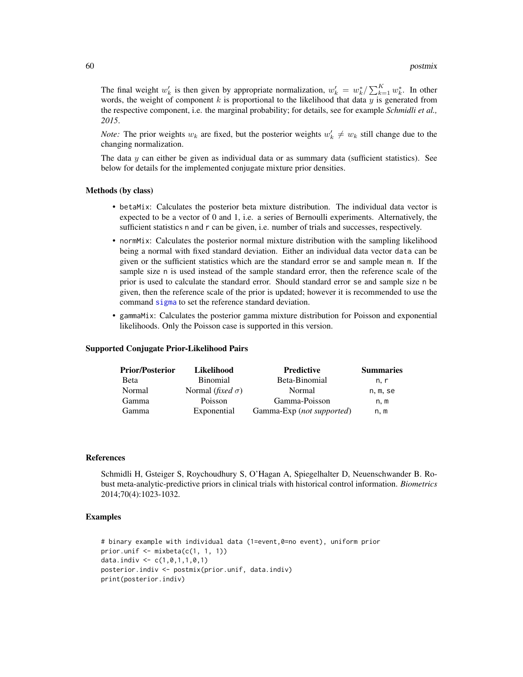<span id="page-59-0"></span>The final weight  $w'_k$  is then given by appropriate normalization,  $w'_k = w_k^* / \sum_{k=1}^K w_k^*$ . In other words, the weight of component  $k$  is proportional to the likelihood that data  $y$  is generated from the respective component, i.e. the marginal probability; for details, see for example *Schmidli et al., 2015*.

*Note:* The prior weights  $w_k$  are fixed, but the posterior weights  $w'_k \neq w_k$  still change due to the changing normalization.

The data  $y$  can either be given as individual data or as summary data (sufficient statistics). See below for details for the implemented conjugate mixture prior densities.

#### Methods (by class)

- betaMix: Calculates the posterior beta mixture distribution. The individual data vector is expected to be a vector of 0 and 1, i.e. a series of Bernoulli experiments. Alternatively, the sufficient statistics n and r can be given, i.e. number of trials and successes, respectively.
- normMix: Calculates the posterior normal mixture distribution with the sampling likelihood being a normal with fixed standard deviation. Either an individual data vector data can be given or the sufficient statistics which are the standard error se and sample mean m. If the sample size n is used instead of the sample standard error, then the reference scale of the prior is used to calculate the standard error. Should standard error se and sample size n be given, then the reference scale of the prior is updated; however it is recommended to use the command [sigma](#page-41-2) to set the reference standard deviation.
- gammaMix: Calculates the posterior gamma mixture distribution for Poisson and exponential likelihoods. Only the Poisson case is supported in this version.

#### Supported Conjugate Prior-Likelihood Pairs

| <b>Prior/Posterior</b> | Likelihood                       | <b>Predictive</b>         | <b>Summaries</b> |
|------------------------|----------------------------------|---------------------------|------------------|
| <b>B</b> eta           | Binomial                         | Beta-Binomial             | n. r             |
| Normal                 | Normal ( <i>fixed</i> $\sigma$ ) | Normal                    | n, m, se         |
| Gamma                  | Poisson                          | Gamma-Poisson             | n.m              |
| Gamma                  | Exponential                      | Gamma-Exp (not supported) | n, m             |

#### References

Schmidli H, Gsteiger S, Roychoudhury S, O'Hagan A, Spiegelhalter D, Neuenschwander B. Robust meta-analytic-predictive priors in clinical trials with historical control information. *Biometrics* 2014;70(4):1023-1032.

#### Examples

```
# binary example with individual data (1=event,0=no event), uniform prior
prior.unif <- mixbeta(c(1, 1, 1))
data.indiv <- c(1, 0, 1, 1, 0, 1)posterior.indiv <- postmix(prior.unif, data.indiv)
print(posterior.indiv)
```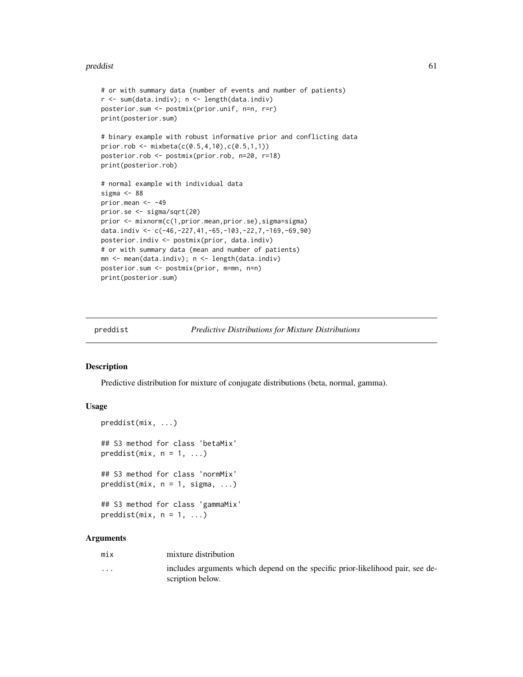#### <span id="page-60-0"></span>preddist 61

```
# or with summary data (number of events and number of patients)
r <- sum(data.indiv); n <- length(data.indiv)
posterior.sum <- postmix(prior.unif, n=n, r=r)
print(posterior.sum)
# binary example with robust informative prior and conflicting data
prior.rob <- mixbeta(c(0.5,4,10),c(0.5,1,1))
posterior.rob <- postmix(prior.rob, n=20, r=18)
print(posterior.rob)
# normal example with individual data
sigma <-88prior.mean <- -49
prior.se <- sigma/sqrt(20)
prior <- mixnorm(c(1,prior.mean,prior.se),sigma=sigma)
data.indiv <- c(-46,-227,41,-65,-103,-22,7,-169,-69,90)
posterior.indiv <- postmix(prior, data.indiv)
# or with summary data (mean and number of patients)
mn <- mean(data.indiv); n <- length(data.indiv)
posterior.sum <- postmix(prior, m=mn, n=n)
print(posterior.sum)
```
<span id="page-60-1"></span>

```
preddist Predictive Distributions for Mixture Distributions
```
#### **Description**

Predictive distribution for mixture of conjugate distributions (beta, normal, gamma).

#### Usage

```
preddist(mix, ...)
## S3 method for class 'betaMix'
preddist(mix, n = 1, ...)## S3 method for class 'normMix'
preddist(mix, n = 1, sigma, ...)## S3 method for class 'gammaMix'
preddist(mix, n = 1, ...)
```
#### Arguments

... includes arguments which depend on the specific prior-likelihood pair, see description below.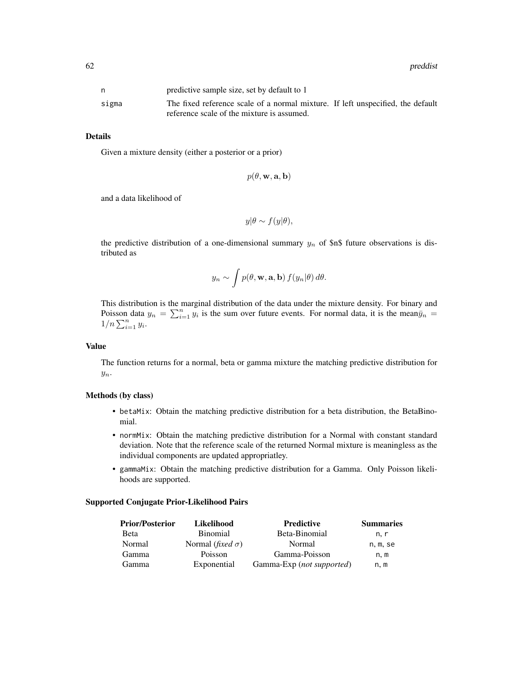|       | predictive sample size, set by default to 1                                                                                   |
|-------|-------------------------------------------------------------------------------------------------------------------------------|
| sigma | The fixed reference scale of a normal mixture. If left unspecified, the default<br>reference scale of the mixture is assumed. |

#### Details

Given a mixture density (either a posterior or a prior)

$$
p(\theta, \mathbf{w}, \mathbf{a}, \mathbf{b})
$$

and a data likelihood of

$$
y|\theta \sim f(y|\theta),
$$

the predictive distribution of a one-dimensional summary  $y_n$  of \$n\$ future observations is distributed as

$$
y_n \sim \int p(\theta, \mathbf{w}, \mathbf{a}, \mathbf{b}) f(y_n|\theta) d\theta.
$$

This distribution is the marginal distribution of the data under the mixture density. For binary and Poisson data  $y_n = \sum_{i=1}^n y_i$  is the sum over future events. For normal data, it is the mean $\bar{y}_n =$  $1/n \sum_{i=1}^n y_i$ .

#### Value

The function returns for a normal, beta or gamma mixture the matching predictive distribution for  $y_n$ .

#### Methods (by class)

- betaMix: Obtain the matching predictive distribution for a beta distribution, the BetaBinomial.
- normMix: Obtain the matching predictive distribution for a Normal with constant standard deviation. Note that the reference scale of the returned Normal mixture is meaningless as the individual components are updated appropriatley.
- gammaMix: Obtain the matching predictive distribution for a Gamma. Only Poisson likelihoods are supported.

#### Supported Conjugate Prior-Likelihood Pairs

| <b>Prior/Posterior</b> | Likelihood                       | <b>Predictive</b>         | <b>Summaries</b> |
|------------------------|----------------------------------|---------------------------|------------------|
| <b>B</b> eta           | <b>Binomial</b>                  | Beta-Binomial             | n. r             |
| Normal                 | Normal ( <i>fixed</i> $\sigma$ ) | Normal                    | n, m, se         |
| Gamma                  | Poisson                          | Gamma-Poisson             | n, m             |
| Gamma                  | Exponential                      | Gamma-Exp (not supported) | n. m             |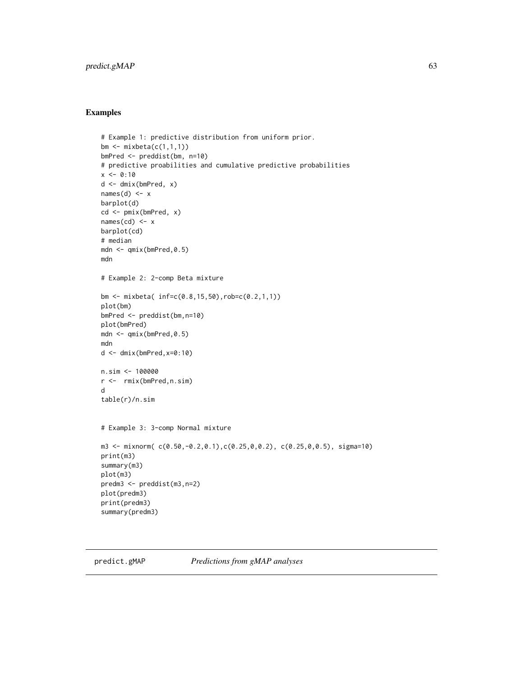#### <span id="page-62-0"></span>predict.gMAP 63

#### Examples

```
# Example 1: predictive distribution from uniform prior.
bm \leq mixbeta(c(1,1,1))
bmPred <- preddist(bm, n=10)
# predictive proabilities and cumulative predictive probabilities
x < -0:10d <- dmix(bmPred, x)
names(d) <-xbarplot(d)
cd <- pmix(bmPred, x)
names(cd) <- x
barplot(cd)
# median
mdn <- qmix(bmPred,0.5)
mdn
# Example 2: 2-comp Beta mixture
bm <- mixbeta( inf=c(0.8,15,50),rob=c(0.2,1,1))
plot(bm)
bmPred <- preddist(bm,n=10)
plot(bmPred)
mdn <- qmix(bmPred,0.5)
mdn
d <- dmix(bmPred,x=0:10)
n.sim <- 100000
r <- rmix(bmPred,n.sim)
d
table(r)/n.sim
# Example 3: 3-comp Normal mixture
m3 <- mixnorm( c(0.50,-0.2,0.1),c(0.25,0,0.2), c(0.25,0,0.5), sigma=10)
print(m3)
summary(m3)
plot(m3)
predm3 <- preddist(m3,n=2)
plot(predm3)
print(predm3)
summary(predm3)
```
<span id="page-62-1"></span>predict.gMAP *Predictions from gMAP analyses*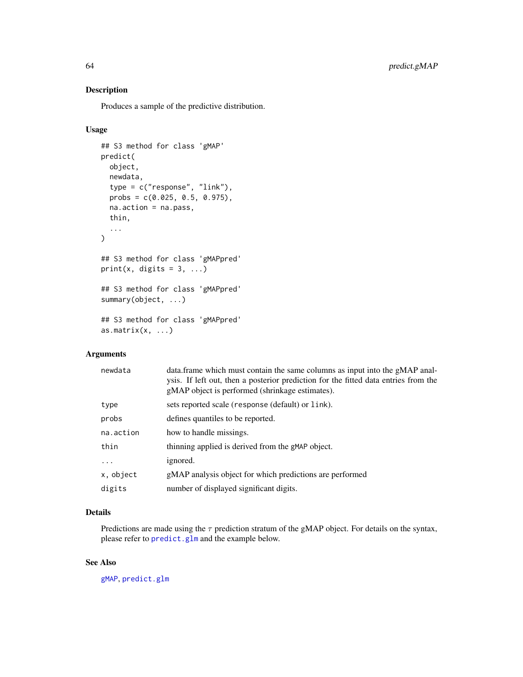#### Description

Produces a sample of the predictive distribution.

#### Usage

```
## S3 method for class 'gMAP'
predict(
 object,
 newdata,
  type = c("response", "link"),
 probs = c(0.025, 0.5, 0.975),
 na.action = na.pass,
  thin,
  ...
\mathcal{L}## S3 method for class 'gMAPpred'
print(x, \text{ digits} = 3, \ldots)## S3 method for class 'gMAPpred'
summary(object, ...)
## S3 method for class 'gMAPpred'
as.matrix(x, \ldots)
```
#### Arguments

| newdata   | data. frame which must contain the same columns as input into the gMAP anal-<br>ysis. If left out, then a posterior prediction for the fitted data entries from the<br>gMAP object is performed (shrinkage estimates). |
|-----------|------------------------------------------------------------------------------------------------------------------------------------------------------------------------------------------------------------------------|
| type      | sets reported scale (response (default) or link).                                                                                                                                                                      |
| probs     | defines quantiles to be reported.                                                                                                                                                                                      |
| na.action | how to handle missings.                                                                                                                                                                                                |
| thin      | thinning applied is derived from the gMAP object.                                                                                                                                                                      |
| .         | ignored.                                                                                                                                                                                                               |
| x, object | gMAP analysis object for which predictions are performed                                                                                                                                                               |
| digits    | number of displayed significant digits.                                                                                                                                                                                |

#### Details

Predictions are made using the  $\tau$  prediction stratum of the gMAP object. For details on the syntax, please refer to [predict.glm](#page-0-0) and the example below.

#### See Also

[gMAP](#page-21-1), [predict.glm](#page-0-0)

<span id="page-63-0"></span>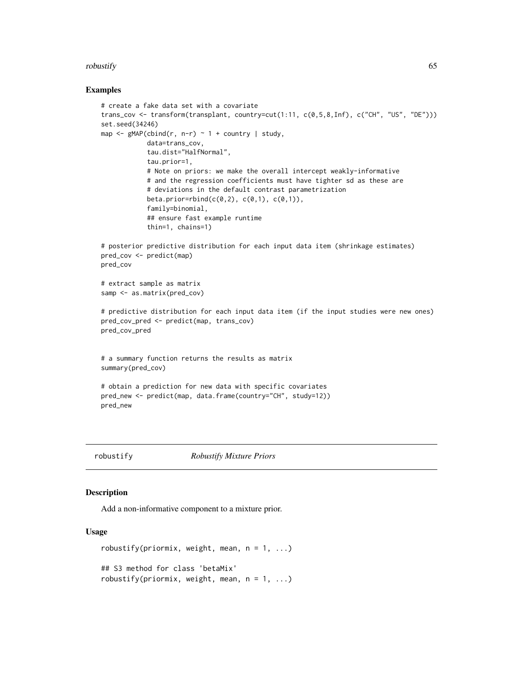#### <span id="page-64-0"></span>robustify the contract of the contract of the contract of the contract of the contract of the contract of the contract of the contract of the contract of the contract of the contract of the contract of the contract of the

#### Examples

```
# create a fake data set with a covariate
trans_cov <- transform(transplant, country=cut(1:11, c(0,5,8,Inf), c("CH", "US", "DE")))
set.seed(34246)
map \leq gMAP(cbind(r, n-r) \sim 1 + country | study,
            data=trans_cov,
            tau.dist="HalfNormal",
            tau.prior=1,
            # Note on priors: we make the overall intercept weakly-informative
            # and the regression coefficients must have tighter sd as these are
            # deviations in the default contrast parametrization
            beta.prior=rbind(c(0,2), c(0,1), c(0,1)),
            family=binomial,
            ## ensure fast example runtime
            thin=1, chains=1)
# posterior predictive distribution for each input data item (shrinkage estimates)
pred_cov <- predict(map)
pred_cov
# extract sample as matrix
samp <- as.matrix(pred_cov)
# predictive distribution for each input data item (if the input studies were new ones)
pred_cov_pred <- predict(map, trans_cov)
pred_cov_pred
# a summary function returns the results as matrix
summary(pred_cov)
# obtain a prediction for new data with specific covariates
pred_new <- predict(map, data.frame(country="CH", study=12))
pred_new
```
<span id="page-64-1"></span>

robustify *Robustify Mixture Priors*

#### Description

Add a non-informative component to a mixture prior.

#### Usage

```
robustify(priormix, weight, mean, n = 1, ...)
## S3 method for class 'betaMix'
robustify(priormix, weight, mean, n = 1, ...)
```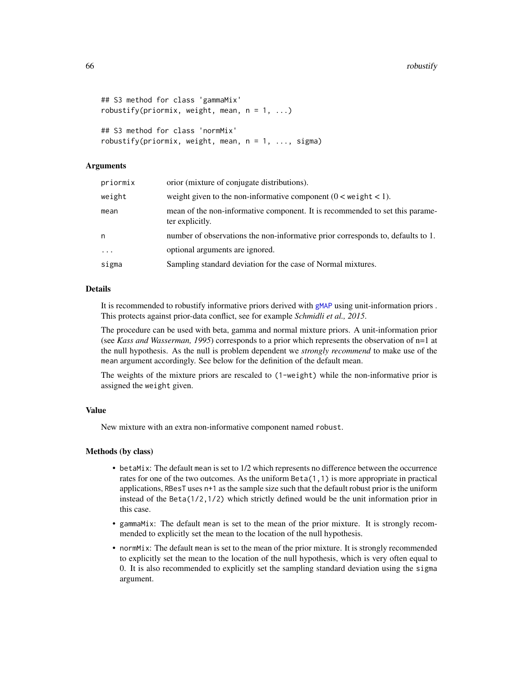```
## S3 method for class 'gammaMix'
robustify(priormix, weight, mean, n = 1, ...)
```

```
## S3 method for class 'normMix'
robustify(priormix, weight, mean, n = 1, \ldots, sigma)
```
#### Arguments

| priormix | orior (mixture of conjugate distributions).                                                     |
|----------|-------------------------------------------------------------------------------------------------|
| weight   | weight given to the non-informative component $(0 \lt \text{weight} \lt 1)$ .                   |
| mean     | mean of the non-informative component. It is recommended to set this parame-<br>ter explicitly. |
| n        | number of observations the non-informative prior corresponds to, defaults to 1.                 |
| $\cdots$ | optional arguments are ignored.                                                                 |
| sigma    | Sampling standard deviation for the case of Normal mixtures.                                    |
|          |                                                                                                 |

#### Details

It is recommended to robustify informative priors derived with [gMAP](#page-21-1) using unit-information priors . This protects against prior-data conflict, see for example *Schmidli et al., 2015*.

The procedure can be used with beta, gamma and normal mixture priors. A unit-information prior (see *Kass and Wasserman, 1995*) corresponds to a prior which represents the observation of n=1 at the null hypothesis. As the null is problem dependent we *strongly recommend* to make use of the mean argument accordingly. See below for the definition of the default mean.

The weights of the mixture priors are rescaled to (1-weight) while the non-informative prior is assigned the weight given.

#### Value

New mixture with an extra non-informative component named robust.

#### Methods (by class)

- betaMix: The default mean is set to 1/2 which represents no difference between the occurrence rates for one of the two outcomes. As the uniform  $Beta(1,1)$  is more appropriate in practical applications, RBesT uses n+1 as the sample size such that the default robust prior is the uniform instead of the Beta(1/2,1/2) which strictly defined would be the unit information prior in this case.
- gammaMix: The default mean is set to the mean of the prior mixture. It is strongly recommended to explicitly set the mean to the location of the null hypothesis.
- normMix: The default mean is set to the mean of the prior mixture. It is strongly recommended to explicitly set the mean to the location of the null hypothesis, which is very often equal to 0. It is also recommended to explicitly set the sampling standard deviation using the sigma argument.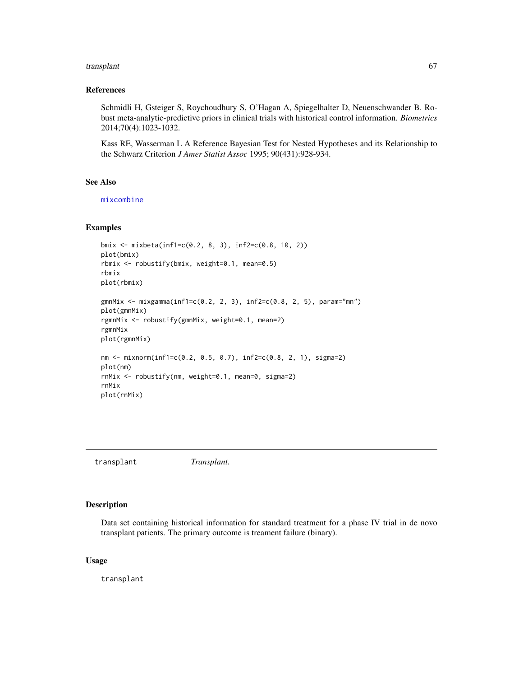#### <span id="page-66-0"></span>transplant 67

#### References

Schmidli H, Gsteiger S, Roychoudhury S, O'Hagan A, Spiegelhalter D, Neuenschwander B. Robust meta-analytic-predictive priors in clinical trials with historical control information. *Biometrics* 2014;70(4):1023-1032.

Kass RE, Wasserman L A Reference Bayesian Test for Nested Hypotheses and its Relationship to the Schwarz Criterion *J Amer Statist Assoc* 1995; 90(431):928-934.

#### See Also

[mixcombine](#page-34-1)

#### Examples

```
bmix <- mixbeta(inf1=c(0.2, 8, 3), inf2=c(0.8, 10, 2))
plot(bmix)
rbmix <- robustify(bmix, weight=0.1, mean=0.5)
rbmix
plot(rbmix)
gmnMix <- mixgamma(inf1=c(0.2, 2, 3), inf2=c(0.8, 2, 5), param="mn")
plot(gmnMix)
rgmnMix <- robustify(gmnMix, weight=0.1, mean=2)
rgmnMix
plot(rgmnMix)
nm <- mixnorm(inf1=c(0.2, 0.5, 0.7), inf2=c(0.8, 2, 1), sigma=2)
plot(nm)
rnMix <- robustify(nm, weight=0.1, mean=0, sigma=2)
rnMix
plot(rnMix)
```
transplant *Transplant.*

#### Description

Data set containing historical information for standard treatment for a phase IV trial in de novo transplant patients. The primary outcome is treament failure (binary).

#### Usage

transplant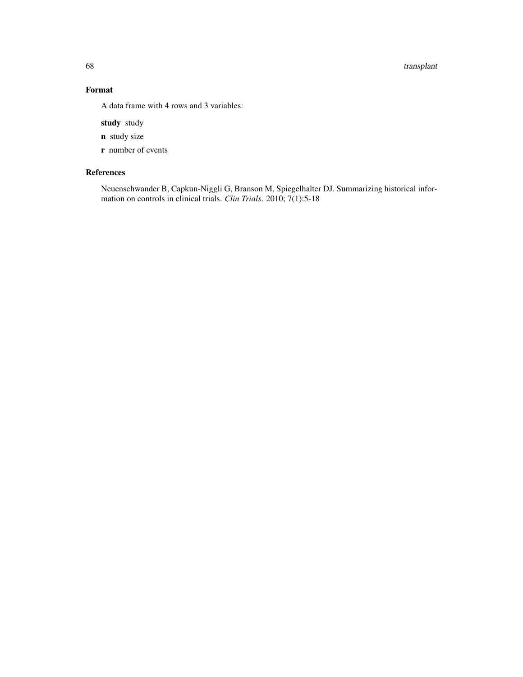68 transplant

#### Format

A data frame with 4 rows and 3 variables:

study study

- n study size
- r number of events

#### References

Neuenschwander B, Capkun-Niggli G, Branson M, Spiegelhalter DJ. Summarizing historical information on controls in clinical trials. *Clin Trials*. 2010; 7(1):5-18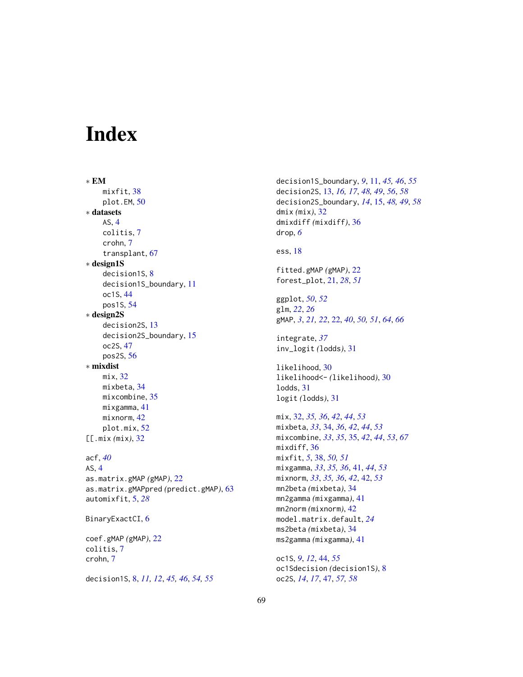# <span id="page-68-0"></span>Index

∗ EM mixfit, [38](#page-37-0) plot.EM, [50](#page-49-0) ∗ datasets AS, [4](#page-3-0) colitis, [7](#page-6-0) crohn, [7](#page-6-0) transplant, [67](#page-66-0) ∗ design1S decision1S, [8](#page-7-0) decision1S\_boundary, [11](#page-10-0) oc1S, [44](#page-43-0) pos1S, [54](#page-53-0) ∗ design2S decision2S, [13](#page-12-0) decision2S\_boundary, [15](#page-14-0) oc2S, [47](#page-46-0) pos2S, [56](#page-55-0) ∗ mixdist mix, [32](#page-31-0) mixbeta, [34](#page-33-0) mixcombine, [35](#page-34-0) mixgamma, [41](#page-40-0) mixnorm, [42](#page-41-0) plot.mix, [52](#page-51-0) [[.mix *(*mix*)*, [32](#page-31-0) acf, *[40](#page-39-0)* AS, [4](#page-3-0) as.matrix.gMAP *(*gMAP*)*, [22](#page-21-0) as.matrix.gMAPpred *(*predict.gMAP*)*, [63](#page-62-0) automixfit, [5,](#page-4-0) *[28](#page-27-0)* BinaryExactCI, [6](#page-5-0) coef.gMAP *(*gMAP*)*, [22](#page-21-0) colitis, [7](#page-6-0) crohn, [7](#page-6-0) decision1S, [8,](#page-7-0) *[11,](#page-10-0) [12](#page-11-0)*, *[45,](#page-44-0) [46](#page-45-0)*, *[54,](#page-53-0) [55](#page-54-0)*

decision1S\_boundary, *[9](#page-8-0)*, [11,](#page-10-0) *[45,](#page-44-0) [46](#page-45-0)*, *[55](#page-54-0)* decision2S, [13,](#page-12-0) *[16,](#page-15-0) [17](#page-16-0)*, *[48,](#page-47-0) [49](#page-48-0)*, *[56](#page-55-0)*, *[58](#page-57-0)* decision2S\_boundary, *[14](#page-13-0)*, [15,](#page-14-0) *[48,](#page-47-0) [49](#page-48-0)*, *[58](#page-57-0)* dmix *(*mix*)*, [32](#page-31-0) dmixdiff *(*mixdiff*)*, [36](#page-35-0) drop, *[6](#page-5-0)* ess, [18](#page-17-0) fitted.gMAP *(*gMAP*)*, [22](#page-21-0) forest\_plot, [21,](#page-20-0) *[28](#page-27-0)*, *[51](#page-50-0)* ggplot, *[50](#page-49-0)*, *[52](#page-51-0)* glm, *[22](#page-21-0)*, *[26](#page-25-0)* gMAP, *[3](#page-2-0)*, *[21,](#page-20-0) [22](#page-21-0)*, [22,](#page-21-0) *[40](#page-39-0)*, *[50,](#page-49-0) [51](#page-50-0)*, *[64](#page-63-0)*, *[66](#page-65-0)* integrate, *[37](#page-36-0)* inv\_logit *(*lodds*)*, [31](#page-30-0) likelihood, [30](#page-29-0) likelihood<- *(*likelihood*)*, [30](#page-29-0) lodds, [31](#page-30-0) logit *(*lodds*)*, [31](#page-30-0) mix, [32,](#page-31-0) *[35,](#page-34-0) [36](#page-35-0)*, *[42](#page-41-0)*, *[44](#page-43-0)*, *[53](#page-52-0)* mixbeta, *[33](#page-32-0)*, [34,](#page-33-0) *[36](#page-35-0)*, *[42](#page-41-0)*, *[44](#page-43-0)*, *[53](#page-52-0)* mixcombine, *[33](#page-32-0)*, *[35](#page-34-0)*, [35,](#page-34-0) *[42](#page-41-0)*, *[44](#page-43-0)*, *[53](#page-52-0)*, *[67](#page-66-0)* mixdiff, [36](#page-35-0) mixfit, *[5](#page-4-0)*, [38,](#page-37-0) *[50,](#page-49-0) [51](#page-50-0)* mixgamma, *[33](#page-32-0)*, *[35,](#page-34-0) [36](#page-35-0)*, [41,](#page-40-0) *[44](#page-43-0)*, *[53](#page-52-0)* mixnorm, *[33](#page-32-0)*, *[35,](#page-34-0) [36](#page-35-0)*, *[42](#page-41-0)*, [42,](#page-41-0) *[53](#page-52-0)* mn2beta *(*mixbeta*)*, [34](#page-33-0) mn2gamma *(*mixgamma*)*, [41](#page-40-0) mn2norm *(*mixnorm*)*, [42](#page-41-0) model.matrix.default, *[24](#page-23-0)* ms2beta *(*mixbeta*)*, [34](#page-33-0) ms2gamma *(*mixgamma*)*, [41](#page-40-0) oc1S, *[9](#page-8-0)*, *[12](#page-11-0)*, [44,](#page-43-0) *[55](#page-54-0)*

oc1Sdecision *(*decision1S*)*, [8](#page-7-0) oc2S, *[14](#page-13-0)*, *[17](#page-16-0)*, [47,](#page-46-0) *[57,](#page-56-0) [58](#page-57-0)*